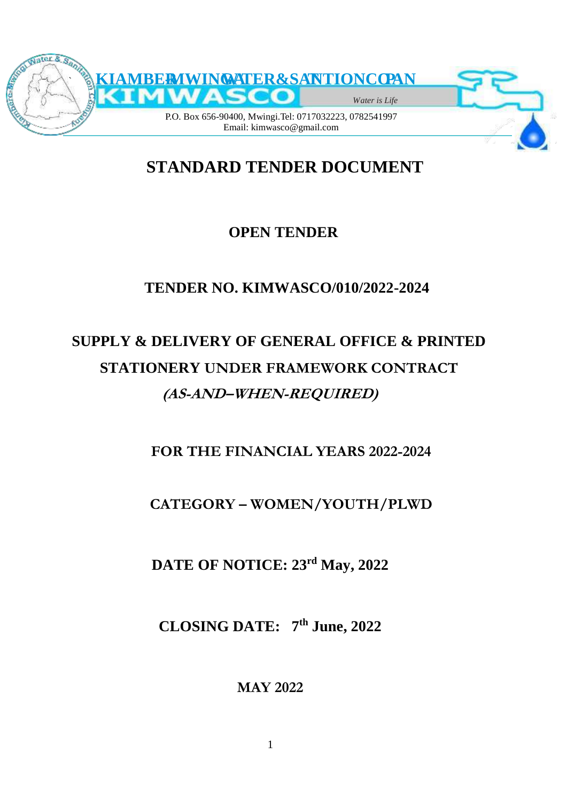

# **STANDARD TENDER DOCUMENT**

# **OPEN TENDER**

# **TENDER NO. KIMWASCO/010/2022-2024**

# **SUPPLY & DELIVERY OF GENERAL OFFICE & PRINTED STATIONERY UNDER FRAMEWORK CONTRACT (AS-AND–WHEN-REQUIRED)**

**FOR THE FINANCIAL YEARS 2022-2024**

# **CATEGORY – WOMEN/YOUTH/PLWD**

**DATE OF NOTICE: 23rd May, 2022**

**CLOSING DATE: 7 th June, 2022**

**MAY 2022**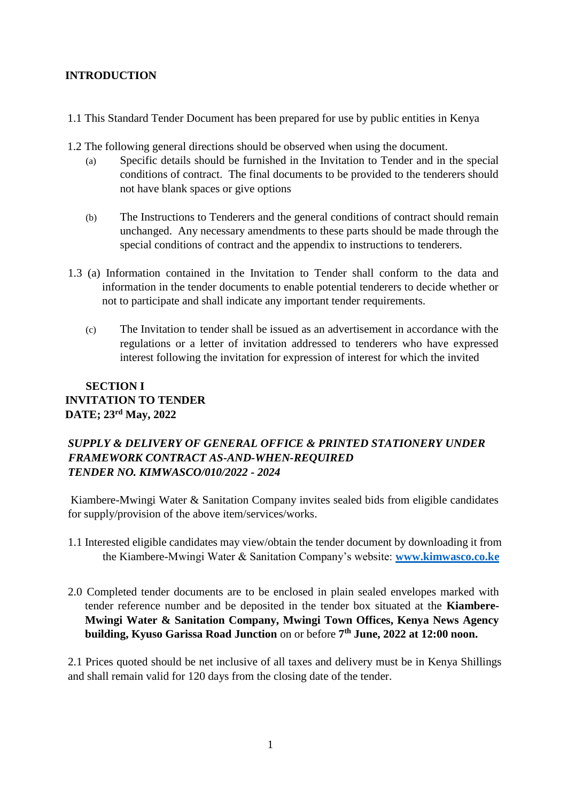#### **INTRODUCTION**

- 1.1 This Standard Tender Document has been prepared for use by public entities in Kenya
- 1.2 The following general directions should be observed when using the document.
	- (a) Specific details should be furnished in the Invitation to Tender and in the special conditions of contract. The final documents to be provided to the tenderers should not have blank spaces or give options
	- (b) The Instructions to Tenderers and the general conditions of contract should remain unchanged. Any necessary amendments to these parts should be made through the special conditions of contract and the appendix to instructions to tenderers.
- 1.3 (a) Information contained in the Invitation to Tender shall conform to the data and information in the tender documents to enable potential tenderers to decide whether or not to participate and shall indicate any important tender requirements.
	- (c) The Invitation to tender shall be issued as an advertisement in accordance with the regulations or a letter of invitation addressed to tenderers who have expressed interest following the invitation for expression of interest for which the invited

# **SECTION I INVITATION TO TENDER DATE; 23rd May, 2022**

# *SUPPLY & DELIVERY OF GENERAL OFFICE & PRINTED STATIONERY UNDER FRAMEWORK CONTRACT AS-AND-WHEN-REQUIRED TENDER NO. KIMWASCO/010/2022 - 2024*

Kiambere-Mwingi Water & Sanitation Company invites sealed bids from eligible candidates for supply/provision of the above item/services/works.

- 1.1 Interested eligible candidates may view/obtain the tender document by downloading it from the Kiambere-Mwingi Water & Sanitation Company's website: **[www.kimwasco.co.ke](http://www.kimwasco.co.ke/)**
- 2.0 Completed tender documents are to be enclosed in plain sealed envelopes marked with tender reference number and be deposited in the tender box situated at the **Kiambere-Mwingi Water & Sanitation Company, Mwingi Town Offices, Kenya News Agency building, Kyuso Garissa Road Junction** on or before **7 th June, 2022 at 12:00 noon.**

2.1 Prices quoted should be net inclusive of all taxes and delivery must be in Kenya Shillings and shall remain valid for 120 days from the closing date of the tender.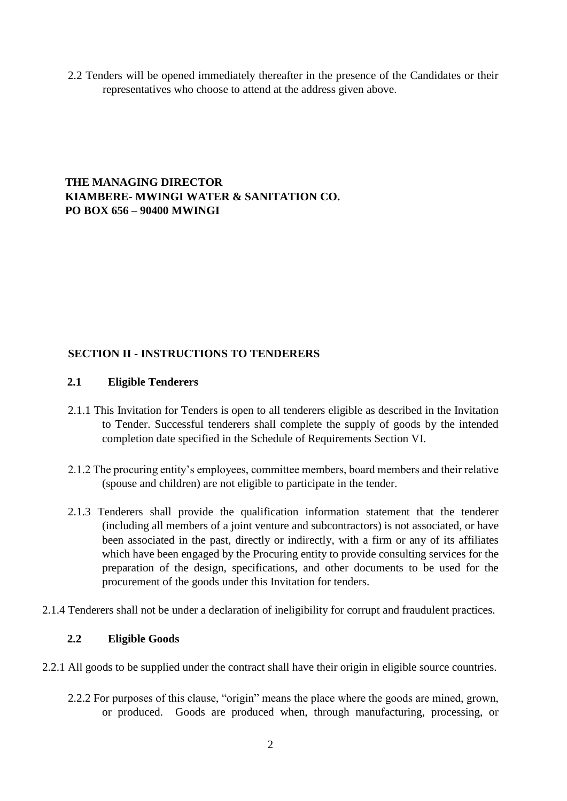2.2 Tenders will be opened immediately thereafter in the presence of the Candidates or their representatives who choose to attend at the address given above.

# **THE MANAGING DIRECTOR KIAMBERE- MWINGI WATER & SANITATION CO. PO BOX 656 – 90400 MWINGI**

#### **SECTION II - INSTRUCTIONS TO TENDERERS**

#### **2.1 Eligible Tenderers**

- 2.1.1 This Invitation for Tenders is open to all tenderers eligible as described in the Invitation to Tender. Successful tenderers shall complete the supply of goods by the intended completion date specified in the Schedule of Requirements Section VI.
- 2.1.2 The procuring entity's employees, committee members, board members and their relative (spouse and children) are not eligible to participate in the tender.
- 2.1.3 Tenderers shall provide the qualification information statement that the tenderer (including all members of a joint venture and subcontractors) is not associated, or have been associated in the past, directly or indirectly, with a firm or any of its affiliates which have been engaged by the Procuring entity to provide consulting services for the preparation of the design, specifications, and other documents to be used for the procurement of the goods under this Invitation for tenders.
- 2.1.4 Tenderers shall not be under a declaration of ineligibility for corrupt and fraudulent practices.

#### **2.2 Eligible Goods**

- 2.2.1 All goods to be supplied under the contract shall have their origin in eligible source countries.
	- 2.2.2 For purposes of this clause, "origin" means the place where the goods are mined, grown, or produced. Goods are produced when, through manufacturing, processing, or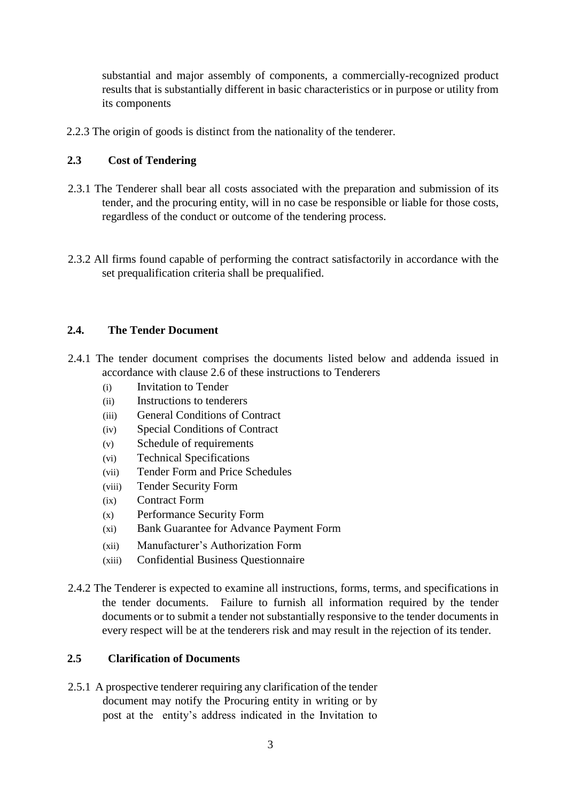substantial and major assembly of components, a commercially-recognized product results that is substantially different in basic characteristics or in purpose or utility from its components

2.2.3 The origin of goods is distinct from the nationality of the tenderer.

#### **2.3 Cost of Tendering**

- 2.3.1 The Tenderer shall bear all costs associated with the preparation and submission of its tender, and the procuring entity, will in no case be responsible or liable for those costs, regardless of the conduct or outcome of the tendering process.
- 2.3.2 All firms found capable of performing the contract satisfactorily in accordance with the set prequalification criteria shall be prequalified.

#### **2.4. The Tender Document**

- 2.4.1 The tender document comprises the documents listed below and addenda issued in accordance with clause 2.6 of these instructions to Tenderers
	- (i) Invitation to Tender
	- (ii) Instructions to tenderers
	- (iii) General Conditions of Contract
	- (iv) Special Conditions of Contract
	- (v) Schedule of requirements
	- (vi) Technical Specifications
	- (vii) Tender Form and Price Schedules
	- (viii) Tender Security Form
	- (ix) Contract Form
	- (x) Performance Security Form
	- (xi) Bank Guarantee for Advance Payment Form
	- (xii) Manufacturer's Authorization Form
	- (xiii) Confidential Business Questionnaire
- 2.4.2 The Tenderer is expected to examine all instructions, forms, terms, and specifications in the tender documents. Failure to furnish all information required by the tender documents or to submit a tender not substantially responsive to the tender documents in every respect will be at the tenderers risk and may result in the rejection of its tender.

#### **2.5 Clarification of Documents**

2.5.1 A prospective tenderer requiring any clarification of the tender document may notify the Procuring entity in writing or by post at the entity's address indicated in the Invitation to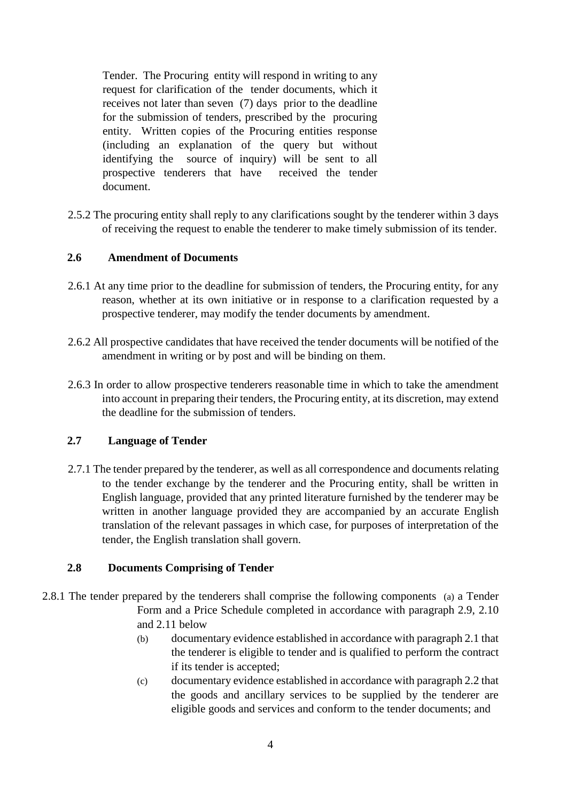Tender. The Procuring entity will respond in writing to any request for clarification of the tender documents, which it receives not later than seven (7) days prior to the deadline for the submission of tenders, prescribed by the procuring entity. Written copies of the Procuring entities response (including an explanation of the query but without identifying the source of inquiry) will be sent to all prospective tenderers that have received the tender document.

2.5.2 The procuring entity shall reply to any clarifications sought by the tenderer within 3 days of receiving the request to enable the tenderer to make timely submission of its tender.

#### **2.6 Amendment of Documents**

- 2.6.1 At any time prior to the deadline for submission of tenders, the Procuring entity, for any reason, whether at its own initiative or in response to a clarification requested by a prospective tenderer, may modify the tender documents by amendment.
- 2.6.2 All prospective candidates that have received the tender documents will be notified of the amendment in writing or by post and will be binding on them.
- 2.6.3 In order to allow prospective tenderers reasonable time in which to take the amendment into account in preparing their tenders, the Procuring entity, at its discretion, may extend the deadline for the submission of tenders.

#### **2.7 Language of Tender**

2.7.1 The tender prepared by the tenderer, as well as all correspondence and documents relating to the tender exchange by the tenderer and the Procuring entity, shall be written in English language, provided that any printed literature furnished by the tenderer may be written in another language provided they are accompanied by an accurate English translation of the relevant passages in which case, for purposes of interpretation of the tender, the English translation shall govern.

#### **2.8 Documents Comprising of Tender**

- 2.8.1 The tender prepared by the tenderers shall comprise the following components (a) a Tender Form and a Price Schedule completed in accordance with paragraph 2.9, 2.10 and 2.11 below
	- (b) documentary evidence established in accordance with paragraph 2.1 that the tenderer is eligible to tender and is qualified to perform the contract if its tender is accepted;
	- (c) documentary evidence established in accordance with paragraph 2.2 that the goods and ancillary services to be supplied by the tenderer are eligible goods and services and conform to the tender documents; and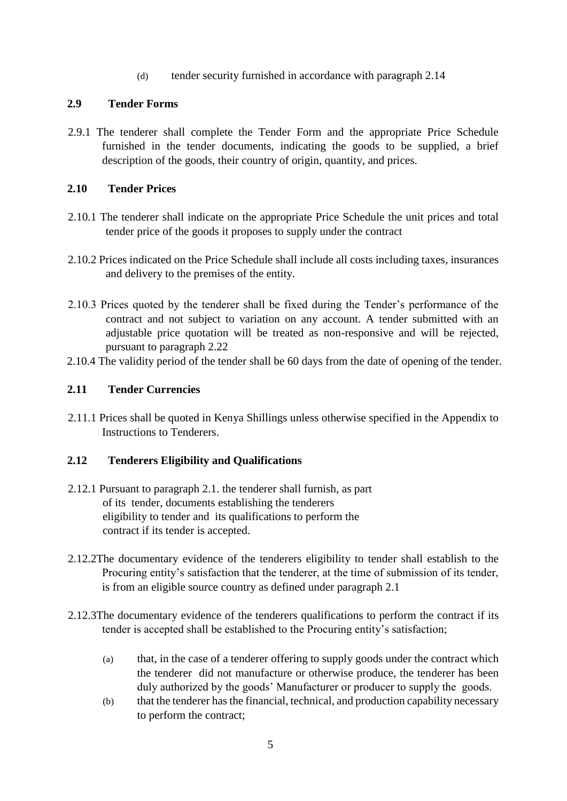(d) tender security furnished in accordance with paragraph 2.14

#### **2.9 Tender Forms**

2.9.1 The tenderer shall complete the Tender Form and the appropriate Price Schedule furnished in the tender documents, indicating the goods to be supplied, a brief description of the goods, their country of origin, quantity, and prices.

# **2.10 Tender Prices**

- 2.10.1 The tenderer shall indicate on the appropriate Price Schedule the unit prices and total tender price of the goods it proposes to supply under the contract
- 2.10.2 Prices indicated on the Price Schedule shall include all costs including taxes, insurances and delivery to the premises of the entity.
- 2.10.3 Prices quoted by the tenderer shall be fixed during the Tender's performance of the contract and not subject to variation on any account. A tender submitted with an adjustable price quotation will be treated as non-responsive and will be rejected, pursuant to paragraph 2.22
- 2.10.4 The validity period of the tender shall be 60 days from the date of opening of the tender.

# **2.11 Tender Currencies**

2.11.1 Prices shall be quoted in Kenya Shillings unless otherwise specified in the Appendix to Instructions to Tenderers.

#### **2.12 Tenderers Eligibility and Qualifications**

- 2.12.1 Pursuant to paragraph 2.1. the tenderer shall furnish, as part of its tender, documents establishing the tenderers eligibility to tender and its qualifications to perform the contract if its tender is accepted.
- 2.12.2The documentary evidence of the tenderers eligibility to tender shall establish to the Procuring entity's satisfaction that the tenderer, at the time of submission of its tender, is from an eligible source country as defined under paragraph 2.1
- 2.12.3The documentary evidence of the tenderers qualifications to perform the contract if its tender is accepted shall be established to the Procuring entity's satisfaction;
	- (a) that, in the case of a tenderer offering to supply goods under the contract which the tenderer did not manufacture or otherwise produce, the tenderer has been duly authorized by the goods' Manufacturer or producer to supply the goods.
	- (b) that the tenderer has the financial, technical, and production capability necessary to perform the contract;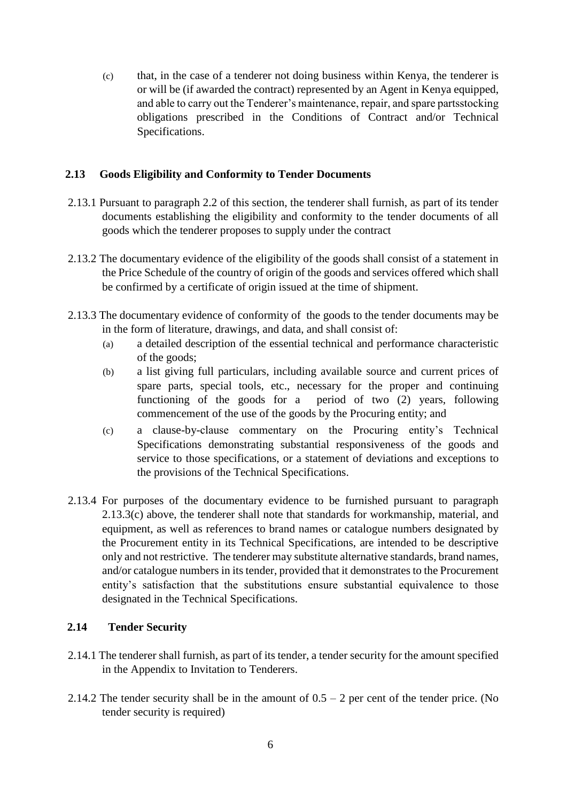(c) that, in the case of a tenderer not doing business within Kenya, the tenderer is or will be (if awarded the contract) represented by an Agent in Kenya equipped, and able to carry out the Tenderer's maintenance, repair, and spare partsstocking obligations prescribed in the Conditions of Contract and/or Technical Specifications.

#### **2.13 Goods Eligibility and Conformity to Tender Documents**

- 2.13.1 Pursuant to paragraph 2.2 of this section, the tenderer shall furnish, as part of its tender documents establishing the eligibility and conformity to the tender documents of all goods which the tenderer proposes to supply under the contract
- 2.13.2 The documentary evidence of the eligibility of the goods shall consist of a statement in the Price Schedule of the country of origin of the goods and services offered which shall be confirmed by a certificate of origin issued at the time of shipment.
- 2.13.3 The documentary evidence of conformity of the goods to the tender documents may be in the form of literature, drawings, and data, and shall consist of:
	- (a) a detailed description of the essential technical and performance characteristic of the goods;
	- (b) a list giving full particulars, including available source and current prices of spare parts, special tools, etc., necessary for the proper and continuing functioning of the goods for a period of two (2) years, following commencement of the use of the goods by the Procuring entity; and
	- (c) a clause-by-clause commentary on the Procuring entity's Technical Specifications demonstrating substantial responsiveness of the goods and service to those specifications, or a statement of deviations and exceptions to the provisions of the Technical Specifications.
- 2.13.4 For purposes of the documentary evidence to be furnished pursuant to paragraph 2.13.3(c) above, the tenderer shall note that standards for workmanship, material, and equipment, as well as references to brand names or catalogue numbers designated by the Procurement entity in its Technical Specifications, are intended to be descriptive only and not restrictive. The tenderer may substitute alternative standards, brand names, and/or catalogue numbers in its tender, provided that it demonstrates to the Procurement entity's satisfaction that the substitutions ensure substantial equivalence to those designated in the Technical Specifications.

#### **2.14 Tender Security**

- 2.14.1 The tenderer shall furnish, as part of its tender, a tender security for the amount specified in the Appendix to Invitation to Tenderers.
- 2.14.2 The tender security shall be in the amount of  $0.5 2$  per cent of the tender price. (No tender security is required)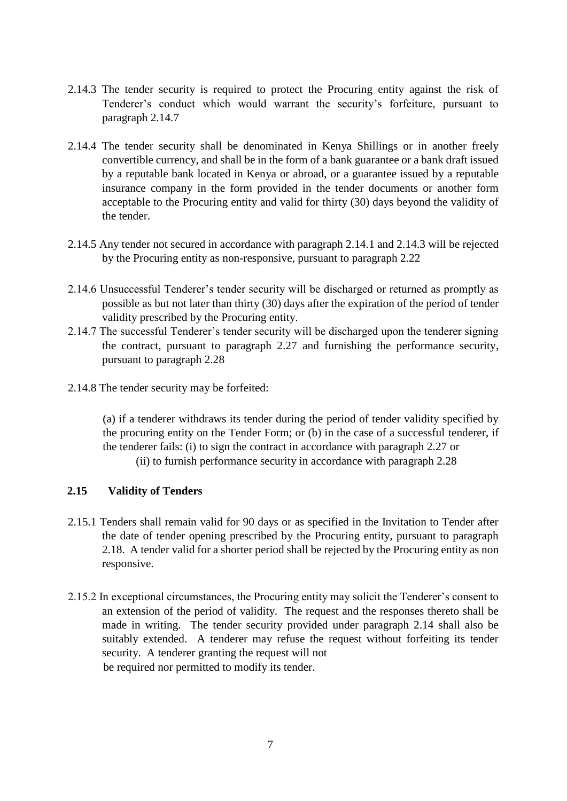- 2.14.3 The tender security is required to protect the Procuring entity against the risk of Tenderer's conduct which would warrant the security's forfeiture, pursuant to paragraph 2.14.7
- 2.14.4 The tender security shall be denominated in Kenya Shillings or in another freely convertible currency, and shall be in the form of a bank guarantee or a bank draft issued by a reputable bank located in Kenya or abroad, or a guarantee issued by a reputable insurance company in the form provided in the tender documents or another form acceptable to the Procuring entity and valid for thirty (30) days beyond the validity of the tender.
- 2.14.5 Any tender not secured in accordance with paragraph 2.14.1 and 2.14.3 will be rejected by the Procuring entity as non-responsive, pursuant to paragraph 2.22
- 2.14.6 Unsuccessful Tenderer's tender security will be discharged or returned as promptly as possible as but not later than thirty (30) days after the expiration of the period of tender validity prescribed by the Procuring entity.
- 2.14.7 The successful Tenderer's tender security will be discharged upon the tenderer signing the contract, pursuant to paragraph 2.27 and furnishing the performance security, pursuant to paragraph 2.28
- 2.14.8 The tender security may be forfeited:

(a) if a tenderer withdraws its tender during the period of tender validity specified by the procuring entity on the Tender Form; or (b) in the case of a successful tenderer, if the tenderer fails: (i) to sign the contract in accordance with paragraph 2.27 or (ii) to furnish performance security in accordance with paragraph 2.28

#### **2.15 Validity of Tenders**

- 2.15.1 Tenders shall remain valid for 90 days or as specified in the Invitation to Tender after the date of tender opening prescribed by the Procuring entity, pursuant to paragraph 2.18. A tender valid for a shorter period shall be rejected by the Procuring entity as non responsive.
- 2.15.2 In exceptional circumstances, the Procuring entity may solicit the Tenderer's consent to an extension of the period of validity. The request and the responses thereto shall be made in writing. The tender security provided under paragraph 2.14 shall also be suitably extended. A tenderer may refuse the request without forfeiting its tender security. A tenderer granting the request will not be required nor permitted to modify its tender.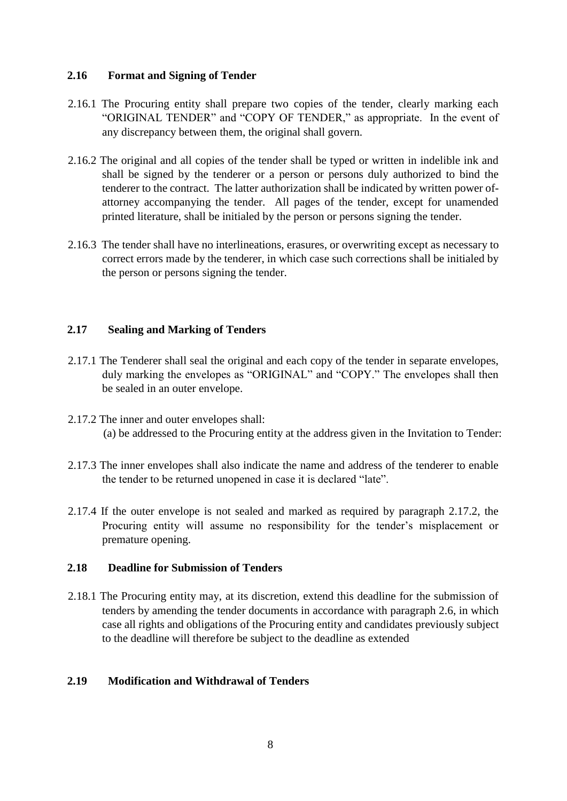#### **2.16 Format and Signing of Tender**

- 2.16.1 The Procuring entity shall prepare two copies of the tender, clearly marking each "ORIGINAL TENDER" and "COPY OF TENDER," as appropriate. In the event of any discrepancy between them, the original shall govern.
- 2.16.2 The original and all copies of the tender shall be typed or written in indelible ink and shall be signed by the tenderer or a person or persons duly authorized to bind the tenderer to the contract. The latter authorization shall be indicated by written power ofattorney accompanying the tender. All pages of the tender, except for unamended printed literature, shall be initialed by the person or persons signing the tender.
- 2.16.3 The tender shall have no interlineations, erasures, or overwriting except as necessary to correct errors made by the tenderer, in which case such corrections shall be initialed by the person or persons signing the tender.

#### **2.17 Sealing and Marking of Tenders**

- 2.17.1 The Tenderer shall seal the original and each copy of the tender in separate envelopes, duly marking the envelopes as "ORIGINAL" and "COPY." The envelopes shall then be sealed in an outer envelope.
- 2.17.2 The inner and outer envelopes shall: (a) be addressed to the Procuring entity at the address given in the Invitation to Tender:
- 2.17.3 The inner envelopes shall also indicate the name and address of the tenderer to enable the tender to be returned unopened in case it is declared "late".
- 2.17.4 If the outer envelope is not sealed and marked as required by paragraph 2.17.2, the Procuring entity will assume no responsibility for the tender's misplacement or premature opening.

#### **2.18 Deadline for Submission of Tenders**

2.18.1 The Procuring entity may, at its discretion, extend this deadline for the submission of tenders by amending the tender documents in accordance with paragraph 2.6, in which case all rights and obligations of the Procuring entity and candidates previously subject to the deadline will therefore be subject to the deadline as extended

#### **2.19 Modification and Withdrawal of Tenders**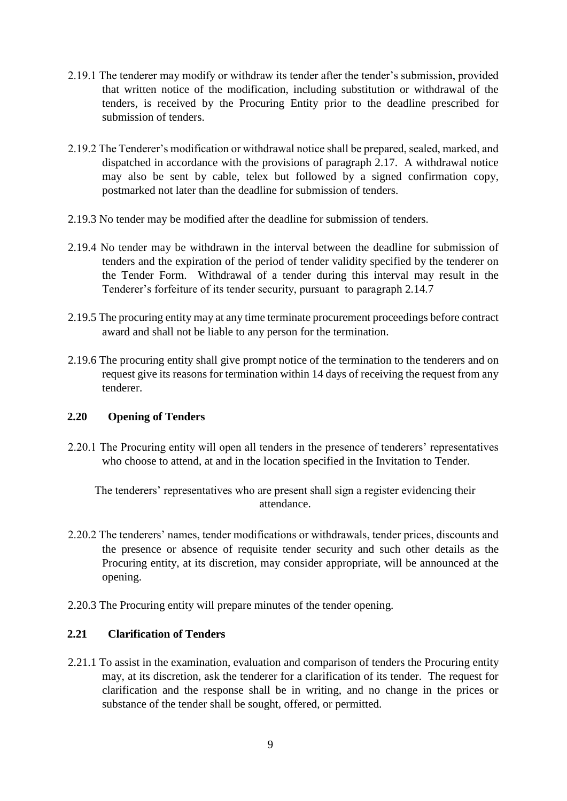- 2.19.1 The tenderer may modify or withdraw its tender after the tender's submission, provided that written notice of the modification, including substitution or withdrawal of the tenders, is received by the Procuring Entity prior to the deadline prescribed for submission of tenders.
- 2.19.2 The Tenderer's modification or withdrawal notice shall be prepared, sealed, marked, and dispatched in accordance with the provisions of paragraph 2.17. A withdrawal notice may also be sent by cable, telex but followed by a signed confirmation copy, postmarked not later than the deadline for submission of tenders.
- 2.19.3 No tender may be modified after the deadline for submission of tenders.
- 2.19.4 No tender may be withdrawn in the interval between the deadline for submission of tenders and the expiration of the period of tender validity specified by the tenderer on the Tender Form. Withdrawal of a tender during this interval may result in the Tenderer's forfeiture of its tender security, pursuant to paragraph 2.14.7
- 2.19.5 The procuring entity may at any time terminate procurement proceedings before contract award and shall not be liable to any person for the termination.
- 2.19.6 The procuring entity shall give prompt notice of the termination to the tenderers and on request give its reasons for termination within 14 days of receiving the request from any tenderer.

#### **2.20 Opening of Tenders**

2.20.1 The Procuring entity will open all tenders in the presence of tenderers' representatives who choose to attend, at and in the location specified in the Invitation to Tender.

The tenderers' representatives who are present shall sign a register evidencing their attendance.

- 2.20.2 The tenderers' names, tender modifications or withdrawals, tender prices, discounts and the presence or absence of requisite tender security and such other details as the Procuring entity, at its discretion, may consider appropriate, will be announced at the opening.
- 2.20.3 The Procuring entity will prepare minutes of the tender opening.

#### **2.21 Clarification of Tenders**

2.21.1 To assist in the examination, evaluation and comparison of tenders the Procuring entity may, at its discretion, ask the tenderer for a clarification of its tender. The request for clarification and the response shall be in writing, and no change in the prices or substance of the tender shall be sought, offered, or permitted.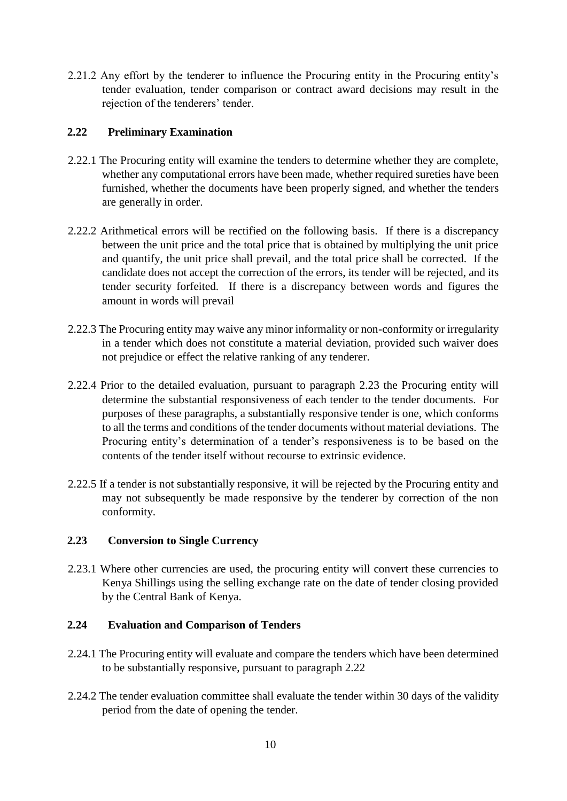2.21.2 Any effort by the tenderer to influence the Procuring entity in the Procuring entity's tender evaluation, tender comparison or contract award decisions may result in the rejection of the tenderers' tender.

#### **2.22 Preliminary Examination**

- 2.22.1 The Procuring entity will examine the tenders to determine whether they are complete, whether any computational errors have been made, whether required sureties have been furnished, whether the documents have been properly signed, and whether the tenders are generally in order.
- 2.22.2 Arithmetical errors will be rectified on the following basis. If there is a discrepancy between the unit price and the total price that is obtained by multiplying the unit price and quantify, the unit price shall prevail, and the total price shall be corrected. If the candidate does not accept the correction of the errors, its tender will be rejected, and its tender security forfeited. If there is a discrepancy between words and figures the amount in words will prevail
- 2.22.3 The Procuring entity may waive any minor informality or non-conformity or irregularity in a tender which does not constitute a material deviation, provided such waiver does not prejudice or effect the relative ranking of any tenderer.
- 2.22.4 Prior to the detailed evaluation, pursuant to paragraph 2.23 the Procuring entity will determine the substantial responsiveness of each tender to the tender documents. For purposes of these paragraphs, a substantially responsive tender is one, which conforms to all the terms and conditions of the tender documents without material deviations. The Procuring entity's determination of a tender's responsiveness is to be based on the contents of the tender itself without recourse to extrinsic evidence.
- 2.22.5 If a tender is not substantially responsive, it will be rejected by the Procuring entity and may not subsequently be made responsive by the tenderer by correction of the non conformity.

# **2.23 Conversion to Single Currency**

2.23.1 Where other currencies are used, the procuring entity will convert these currencies to Kenya Shillings using the selling exchange rate on the date of tender closing provided by the Central Bank of Kenya.

#### **2.24 Evaluation and Comparison of Tenders**

- 2.24.1 The Procuring entity will evaluate and compare the tenders which have been determined to be substantially responsive, pursuant to paragraph 2.22
- 2.24.2 The tender evaluation committee shall evaluate the tender within 30 days of the validity period from the date of opening the tender.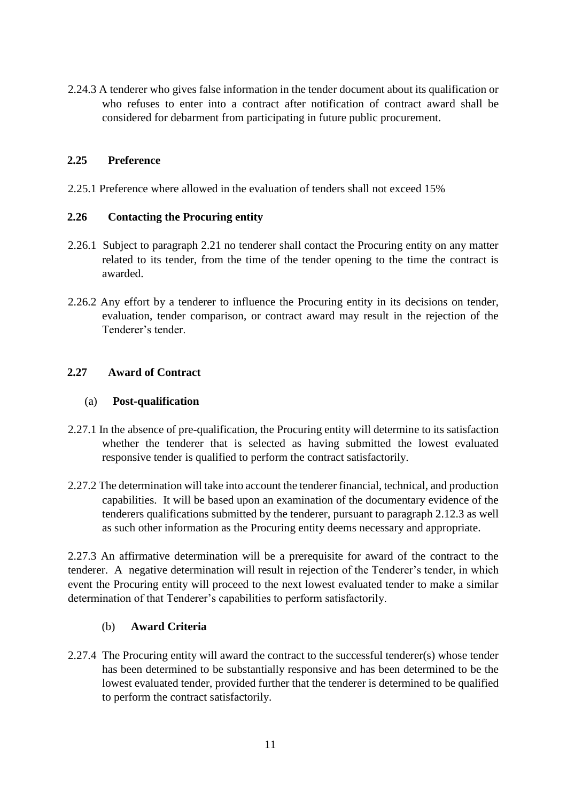2.24.3 A tenderer who gives false information in the tender document about its qualification or who refuses to enter into a contract after notification of contract award shall be considered for debarment from participating in future public procurement.

#### **2.25 Preference**

2.25.1 Preference where allowed in the evaluation of tenders shall not exceed 15%

#### **2.26 Contacting the Procuring entity**

- 2.26.1 Subject to paragraph 2.21 no tenderer shall contact the Procuring entity on any matter related to its tender, from the time of the tender opening to the time the contract is awarded.
- 2.26.2 Any effort by a tenderer to influence the Procuring entity in its decisions on tender, evaluation, tender comparison, or contract award may result in the rejection of the Tenderer's tender.

#### **2.27 Award of Contract**

#### (a) **Post-qualification**

- 2.27.1 In the absence of pre-qualification, the Procuring entity will determine to its satisfaction whether the tenderer that is selected as having submitted the lowest evaluated responsive tender is qualified to perform the contract satisfactorily.
- 2.27.2 The determination will take into account the tenderer financial, technical, and production capabilities. It will be based upon an examination of the documentary evidence of the tenderers qualifications submitted by the tenderer, pursuant to paragraph 2.12.3 as well as such other information as the Procuring entity deems necessary and appropriate.

2.27.3 An affirmative determination will be a prerequisite for award of the contract to the tenderer. A negative determination will result in rejection of the Tenderer's tender, in which event the Procuring entity will proceed to the next lowest evaluated tender to make a similar determination of that Tenderer's capabilities to perform satisfactorily.

#### (b) **Award Criteria**

2.27.4 The Procuring entity will award the contract to the successful tenderer(s) whose tender has been determined to be substantially responsive and has been determined to be the lowest evaluated tender, provided further that the tenderer is determined to be qualified to perform the contract satisfactorily.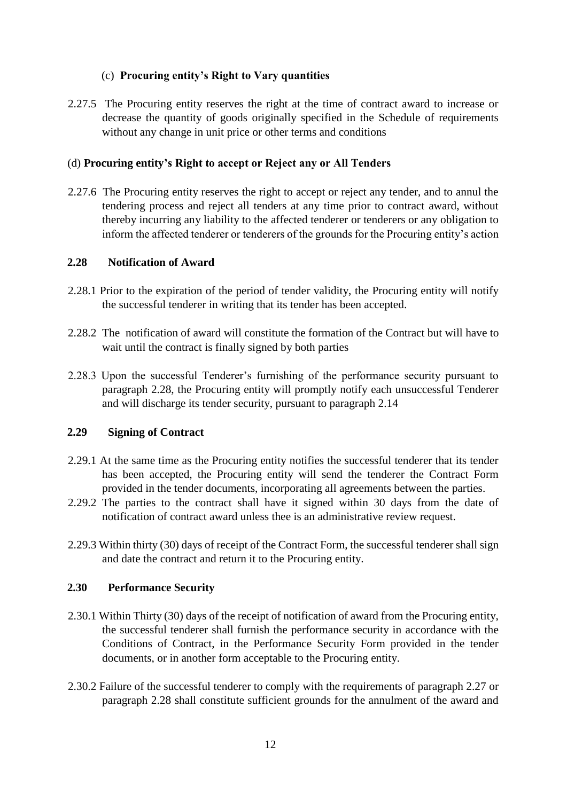# (c) **Procuring entity's Right to Vary quantities**

2.27.5 The Procuring entity reserves the right at the time of contract award to increase or decrease the quantity of goods originally specified in the Schedule of requirements without any change in unit price or other terms and conditions

#### (d) **Procuring entity's Right to accept or Reject any or All Tenders**

2.27.6 The Procuring entity reserves the right to accept or reject any tender, and to annul the tendering process and reject all tenders at any time prior to contract award, without thereby incurring any liability to the affected tenderer or tenderers or any obligation to inform the affected tenderer or tenderers of the grounds for the Procuring entity's action

#### **2.28 Notification of Award**

- 2.28.1 Prior to the expiration of the period of tender validity, the Procuring entity will notify the successful tenderer in writing that its tender has been accepted.
- 2.28.2 The notification of award will constitute the formation of the Contract but will have to wait until the contract is finally signed by both parties
- 2.28.3 Upon the successful Tenderer's furnishing of the performance security pursuant to paragraph 2.28, the Procuring entity will promptly notify each unsuccessful Tenderer and will discharge its tender security, pursuant to paragraph 2.14

#### **2.29 Signing of Contract**

- 2.29.1 At the same time as the Procuring entity notifies the successful tenderer that its tender has been accepted, the Procuring entity will send the tenderer the Contract Form provided in the tender documents, incorporating all agreements between the parties.
- 2.29.2 The parties to the contract shall have it signed within 30 days from the date of notification of contract award unless thee is an administrative review request.
- 2.29.3 Within thirty (30) days of receipt of the Contract Form, the successful tenderer shall sign and date the contract and return it to the Procuring entity.

#### **2.30 Performance Security**

- 2.30.1 Within Thirty (30) days of the receipt of notification of award from the Procuring entity, the successful tenderer shall furnish the performance security in accordance with the Conditions of Contract, in the Performance Security Form provided in the tender documents, or in another form acceptable to the Procuring entity.
- 2.30.2 Failure of the successful tenderer to comply with the requirements of paragraph 2.27 or paragraph 2.28 shall constitute sufficient grounds for the annulment of the award and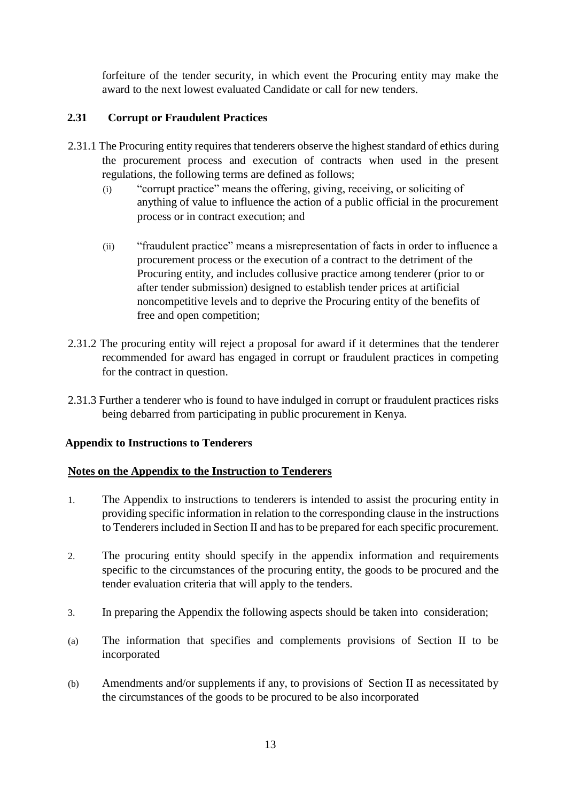forfeiture of the tender security, in which event the Procuring entity may make the award to the next lowest evaluated Candidate or call for new tenders.

# **2.31 Corrupt or Fraudulent Practices**

- 2.31.1 The Procuring entity requires that tenderers observe the highest standard of ethics during the procurement process and execution of contracts when used in the present regulations, the following terms are defined as follows;
	- (i) "corrupt practice" means the offering, giving, receiving, or soliciting of anything of value to influence the action of a public official in the procurement process or in contract execution; and
	- (ii) "fraudulent practice" means a misrepresentation of facts in order to influence a procurement process or the execution of a contract to the detriment of the Procuring entity, and includes collusive practice among tenderer (prior to or after tender submission) designed to establish tender prices at artificial noncompetitive levels and to deprive the Procuring entity of the benefits of free and open competition;
- 2.31.2 The procuring entity will reject a proposal for award if it determines that the tenderer recommended for award has engaged in corrupt or fraudulent practices in competing for the contract in question.
- 2.31.3 Further a tenderer who is found to have indulged in corrupt or fraudulent practices risks being debarred from participating in public procurement in Kenya.

#### **Appendix to Instructions to Tenderers**

#### **Notes on the Appendix to the Instruction to Tenderers**

- 1. The Appendix to instructions to tenderers is intended to assist the procuring entity in providing specific information in relation to the corresponding clause in the instructions to Tenderers included in Section II and has to be prepared for each specific procurement.
- 2. The procuring entity should specify in the appendix information and requirements specific to the circumstances of the procuring entity, the goods to be procured and the tender evaluation criteria that will apply to the tenders.
- 3. In preparing the Appendix the following aspects should be taken into consideration;
- (a) The information that specifies and complements provisions of Section II to be incorporated
- (b) Amendments and/or supplements if any, to provisions of Section II as necessitated by the circumstances of the goods to be procured to be also incorporated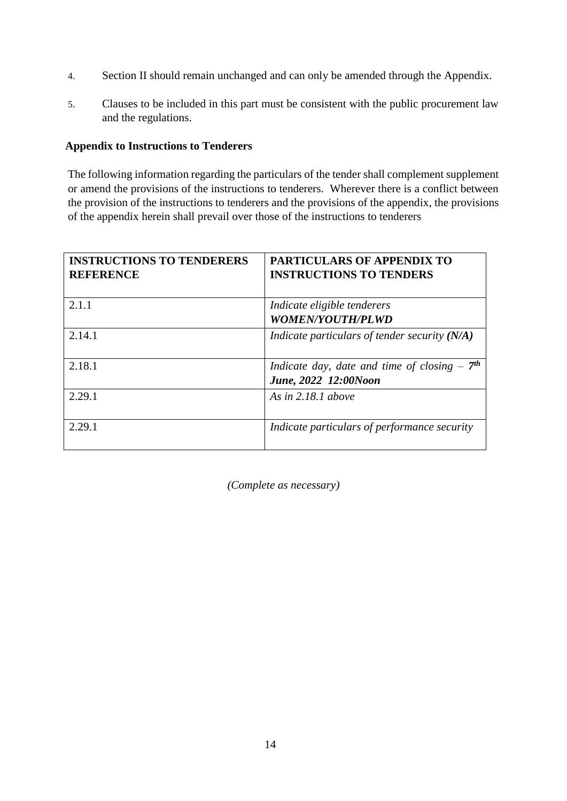- 4. Section II should remain unchanged and can only be amended through the Appendix.
- 5. Clauses to be included in this part must be consistent with the public procurement law and the regulations.

#### **Appendix to Instructions to Tenderers**

The following information regarding the particulars of the tender shall complement supplement or amend the provisions of the instructions to tenderers. Wherever there is a conflict between the provision of the instructions to tenderers and the provisions of the appendix, the provisions of the appendix herein shall prevail over those of the instructions to tenderers

| <b>INSTRUCTIONS TO TENDERERS</b><br><b>REFERENCE</b> | <b>PARTICULARS OF APPENDIX TO</b><br><b>INSTRUCTIONS TO TENDERS</b>   |
|------------------------------------------------------|-----------------------------------------------------------------------|
| 2.1.1                                                | Indicate eligible tenderers<br><b>WOMEN/YOUTH/PLWD</b>                |
| 2.14.1                                               | Indicate particulars of tender security (N/A)                         |
| 2.18.1                                               | Indicate day, date and time of closing $-7th$<br>June, 2022 12:00Noon |
| 2.29.1                                               | As in $2.18.1$ above                                                  |
| 2.29.1                                               | Indicate particulars of performance security                          |

*(Complete as necessary)*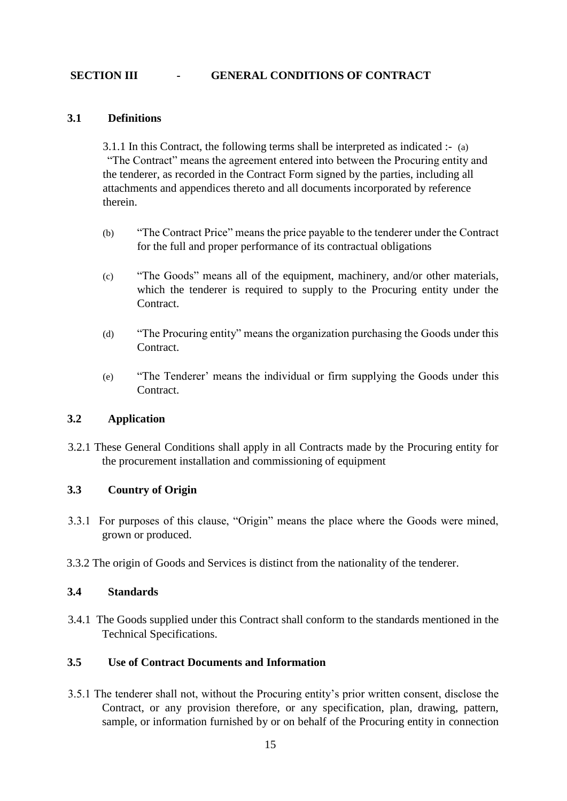#### **SECTION III - GENERAL CONDITIONS OF CONTRACT**

#### **3.1 Definitions**

3.1.1 In this Contract, the following terms shall be interpreted as indicated :- (a) "The Contract" means the agreement entered into between the Procuring entity and the tenderer, as recorded in the Contract Form signed by the parties, including all attachments and appendices thereto and all documents incorporated by reference therein.

- (b) "The Contract Price" means the price payable to the tenderer under the Contract for the full and proper performance of its contractual obligations
- (c) "The Goods" means all of the equipment, machinery, and/or other materials, which the tenderer is required to supply to the Procuring entity under the Contract.
- (d) "The Procuring entity" means the organization purchasing the Goods under this Contract.
- (e) "The Tenderer' means the individual or firm supplying the Goods under this Contract.

#### **3.2 Application**

3.2.1 These General Conditions shall apply in all Contracts made by the Procuring entity for the procurement installation and commissioning of equipment

#### **3.3 Country of Origin**

- 3.3.1 For purposes of this clause, "Origin" means the place where the Goods were mined, grown or produced.
- 3.3.2 The origin of Goods and Services is distinct from the nationality of the tenderer.

#### **3.4 Standards**

3.4.1 The Goods supplied under this Contract shall conform to the standards mentioned in the Technical Specifications.

#### **3.5 Use of Contract Documents and Information**

3.5.1 The tenderer shall not, without the Procuring entity's prior written consent, disclose the Contract, or any provision therefore, or any specification, plan, drawing, pattern, sample, or information furnished by or on behalf of the Procuring entity in connection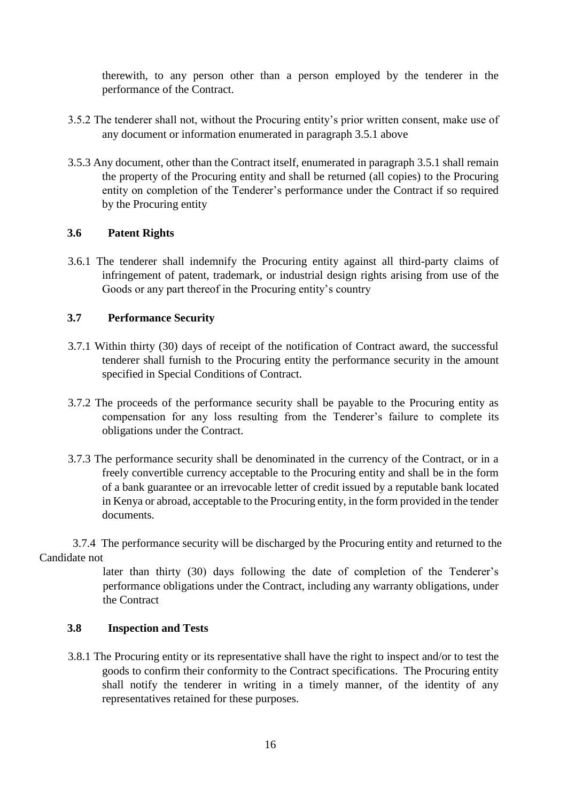therewith, to any person other than a person employed by the tenderer in the performance of the Contract.

- 3.5.2 The tenderer shall not, without the Procuring entity's prior written consent, make use of any document or information enumerated in paragraph 3.5.1 above
- 3.5.3 Any document, other than the Contract itself, enumerated in paragraph 3.5.1 shall remain the property of the Procuring entity and shall be returned (all copies) to the Procuring entity on completion of the Tenderer's performance under the Contract if so required by the Procuring entity

#### **3.6 Patent Rights**

3.6.1 The tenderer shall indemnify the Procuring entity against all third-party claims of infringement of patent, trademark, or industrial design rights arising from use of the Goods or any part thereof in the Procuring entity's country

#### **3.7 Performance Security**

- 3.7.1 Within thirty (30) days of receipt of the notification of Contract award, the successful tenderer shall furnish to the Procuring entity the performance security in the amount specified in Special Conditions of Contract.
- 3.7.2 The proceeds of the performance security shall be payable to the Procuring entity as compensation for any loss resulting from the Tenderer's failure to complete its obligations under the Contract.
- 3.7.3 The performance security shall be denominated in the currency of the Contract, or in a freely convertible currency acceptable to the Procuring entity and shall be in the form of a bank guarantee or an irrevocable letter of credit issued by a reputable bank located in Kenya or abroad, acceptable to the Procuring entity, in the form provided in the tender documents.

3.7.4 The performance security will be discharged by the Procuring entity and returned to the Candidate not

> later than thirty (30) days following the date of completion of the Tenderer's performance obligations under the Contract, including any warranty obligations, under the Contract

#### **3.8 Inspection and Tests**

3.8.1 The Procuring entity or its representative shall have the right to inspect and/or to test the goods to confirm their conformity to the Contract specifications. The Procuring entity shall notify the tenderer in writing in a timely manner, of the identity of any representatives retained for these purposes.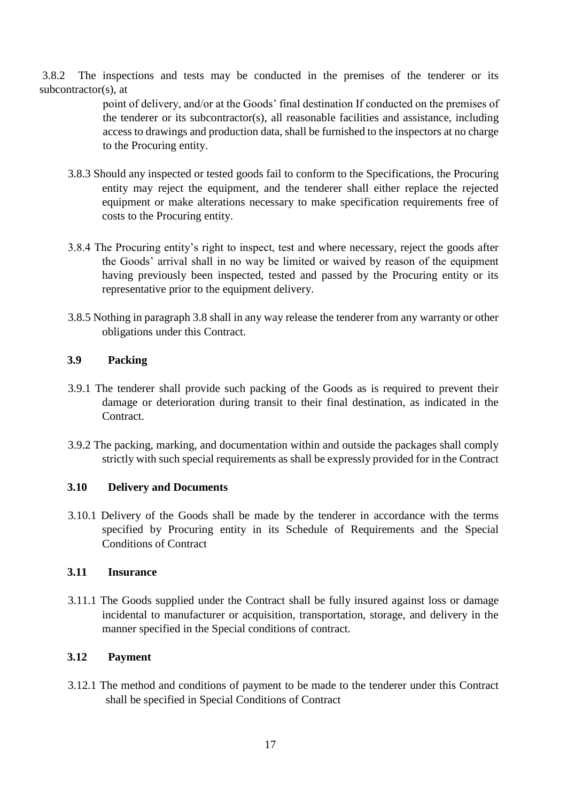3.8.2 The inspections and tests may be conducted in the premises of the tenderer or its subcontractor(s), at

> point of delivery, and/or at the Goods' final destination If conducted on the premises of the tenderer or its subcontractor(s), all reasonable facilities and assistance, including access to drawings and production data, shall be furnished to the inspectors at no charge to the Procuring entity.

- 3.8.3 Should any inspected or tested goods fail to conform to the Specifications, the Procuring entity may reject the equipment, and the tenderer shall either replace the rejected equipment or make alterations necessary to make specification requirements free of costs to the Procuring entity.
- 3.8.4 The Procuring entity's right to inspect, test and where necessary, reject the goods after the Goods' arrival shall in no way be limited or waived by reason of the equipment having previously been inspected, tested and passed by the Procuring entity or its representative prior to the equipment delivery.
- 3.8.5 Nothing in paragraph 3.8 shall in any way release the tenderer from any warranty or other obligations under this Contract.

# **3.9 Packing**

- 3.9.1 The tenderer shall provide such packing of the Goods as is required to prevent their damage or deterioration during transit to their final destination, as indicated in the Contract.
- 3.9.2 The packing, marking, and documentation within and outside the packages shall comply strictly with such special requirements as shall be expressly provided for in the Contract

#### **3.10 Delivery and Documents**

3.10.1 Delivery of the Goods shall be made by the tenderer in accordance with the terms specified by Procuring entity in its Schedule of Requirements and the Special Conditions of Contract

#### **3.11 Insurance**

3.11.1 The Goods supplied under the Contract shall be fully insured against loss or damage incidental to manufacturer or acquisition, transportation, storage, and delivery in the manner specified in the Special conditions of contract.

#### **3.12 Payment**

3.12.1 The method and conditions of payment to be made to the tenderer under this Contract shall be specified in Special Conditions of Contract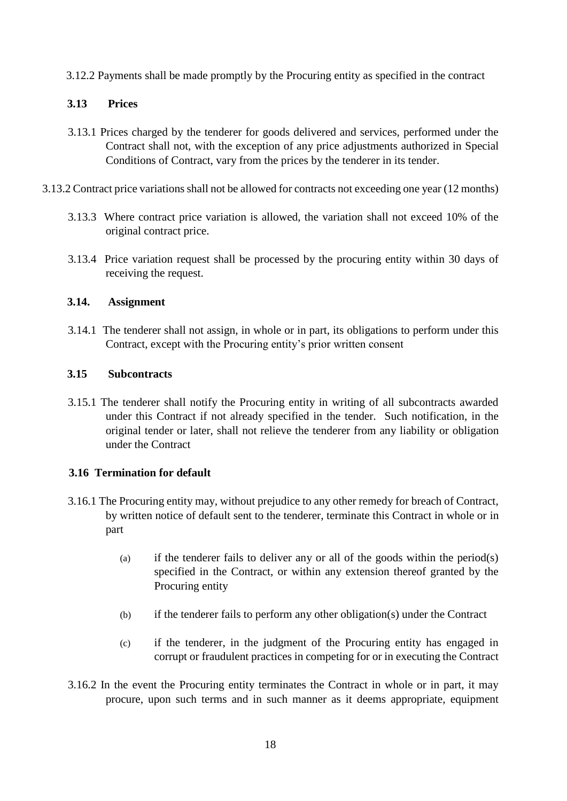3.12.2 Payments shall be made promptly by the Procuring entity as specified in the contract

# **3.13 Prices**

- 3.13.1 Prices charged by the tenderer for goods delivered and services, performed under the Contract shall not, with the exception of any price adjustments authorized in Special Conditions of Contract, vary from the prices by the tenderer in its tender.
- 3.13.2 Contract price variations shall not be allowed for contracts not exceeding one year (12 months)
	- 3.13.3 Where contract price variation is allowed, the variation shall not exceed 10% of the original contract price.
	- 3.13.4 Price variation request shall be processed by the procuring entity within 30 days of receiving the request.

# **3.14. Assignment**

3.14.1 The tenderer shall not assign, in whole or in part, its obligations to perform under this Contract, except with the Procuring entity's prior written consent

# **3.15 Subcontracts**

3.15.1 The tenderer shall notify the Procuring entity in writing of all subcontracts awarded under this Contract if not already specified in the tender. Such notification, in the original tender or later, shall not relieve the tenderer from any liability or obligation under the Contract

# **3.16 Termination for default**

- 3.16.1 The Procuring entity may, without prejudice to any other remedy for breach of Contract, by written notice of default sent to the tenderer, terminate this Contract in whole or in part
	- (a) if the tenderer fails to deliver any or all of the goods within the period(s) specified in the Contract, or within any extension thereof granted by the Procuring entity
	- (b) if the tenderer fails to perform any other obligation(s) under the Contract
	- (c) if the tenderer, in the judgment of the Procuring entity has engaged in corrupt or fraudulent practices in competing for or in executing the Contract
- 3.16.2 In the event the Procuring entity terminates the Contract in whole or in part, it may procure, upon such terms and in such manner as it deems appropriate, equipment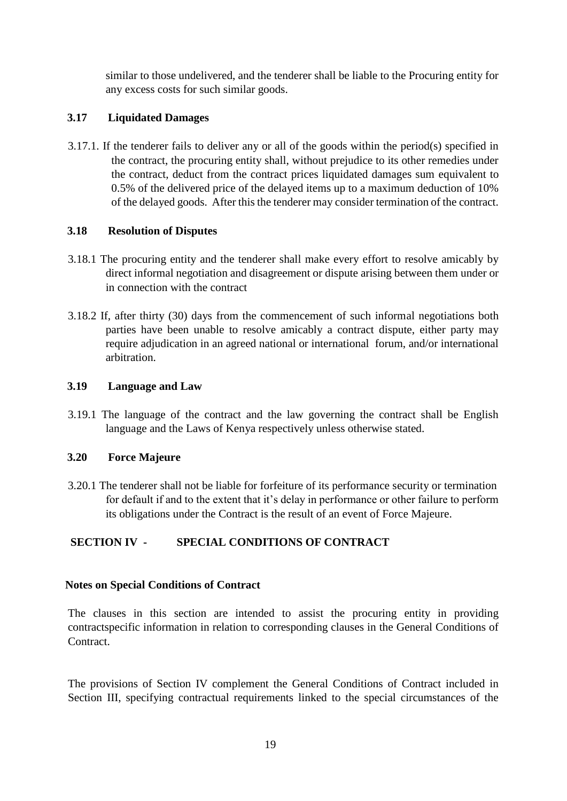similar to those undelivered, and the tenderer shall be liable to the Procuring entity for any excess costs for such similar goods.

# **3.17 Liquidated Damages**

3.17.1. If the tenderer fails to deliver any or all of the goods within the period(s) specified in the contract, the procuring entity shall, without prejudice to its other remedies under the contract, deduct from the contract prices liquidated damages sum equivalent to 0.5% of the delivered price of the delayed items up to a maximum deduction of 10% of the delayed goods. After this the tenderer may consider termination of the contract.

#### **3.18 Resolution of Disputes**

- 3.18.1 The procuring entity and the tenderer shall make every effort to resolve amicably by direct informal negotiation and disagreement or dispute arising between them under or in connection with the contract
- 3.18.2 If, after thirty (30) days from the commencement of such informal negotiations both parties have been unable to resolve amicably a contract dispute, either party may require adjudication in an agreed national or international forum, and/or international arbitration.

#### **3.19 Language and Law**

3.19.1 The language of the contract and the law governing the contract shall be English language and the Laws of Kenya respectively unless otherwise stated.

#### **3.20 Force Majeure**

3.20.1 The tenderer shall not be liable for forfeiture of its performance security or termination for default if and to the extent that it's delay in performance or other failure to perform its obligations under the Contract is the result of an event of Force Majeure.

#### **SECTION IV - SPECIAL CONDITIONS OF CONTRACT**

#### **Notes on Special Conditions of Contract**

The clauses in this section are intended to assist the procuring entity in providing contractspecific information in relation to corresponding clauses in the General Conditions of Contract.

The provisions of Section IV complement the General Conditions of Contract included in Section III, specifying contractual requirements linked to the special circumstances of the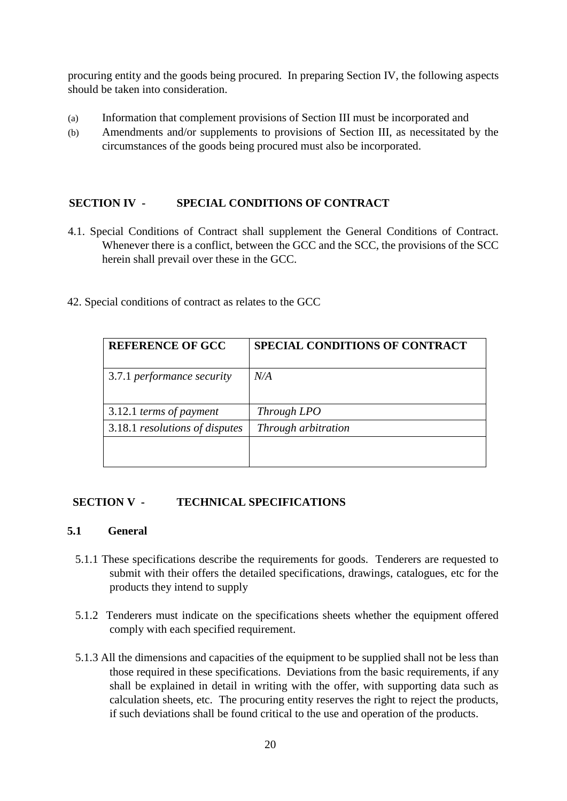procuring entity and the goods being procured. In preparing Section IV, the following aspects should be taken into consideration.

- (a) Information that complement provisions of Section III must be incorporated and
- (b) Amendments and/or supplements to provisions of Section III, as necessitated by the circumstances of the goods being procured must also be incorporated.

#### **SECTION IV - SPECIAL CONDITIONS OF CONTRACT**

- 4.1. Special Conditions of Contract shall supplement the General Conditions of Contract. Whenever there is a conflict, between the GCC and the SCC, the provisions of the SCC herein shall prevail over these in the GCC.
- 42. Special conditions of contract as relates to the GCC

| <b>REFERENCE OF GCC</b>        | <b>SPECIAL CONDITIONS OF CONTRACT</b> |
|--------------------------------|---------------------------------------|
| 3.7.1 performance security     | N/A                                   |
| 3.12.1 terms of payment        | Through LPO                           |
| 3.18.1 resolutions of disputes | Through arbitration                   |
|                                |                                       |

#### **SECTION V - TECHNICAL SPECIFICATIONS**

#### **5.1 General**

- 5.1.1 These specifications describe the requirements for goods. Tenderers are requested to submit with their offers the detailed specifications, drawings, catalogues, etc for the products they intend to supply
- 5.1.2 Tenderers must indicate on the specifications sheets whether the equipment offered comply with each specified requirement.
- 5.1.3 All the dimensions and capacities of the equipment to be supplied shall not be less than those required in these specifications. Deviations from the basic requirements, if any shall be explained in detail in writing with the offer, with supporting data such as calculation sheets, etc. The procuring entity reserves the right to reject the products, if such deviations shall be found critical to the use and operation of the products.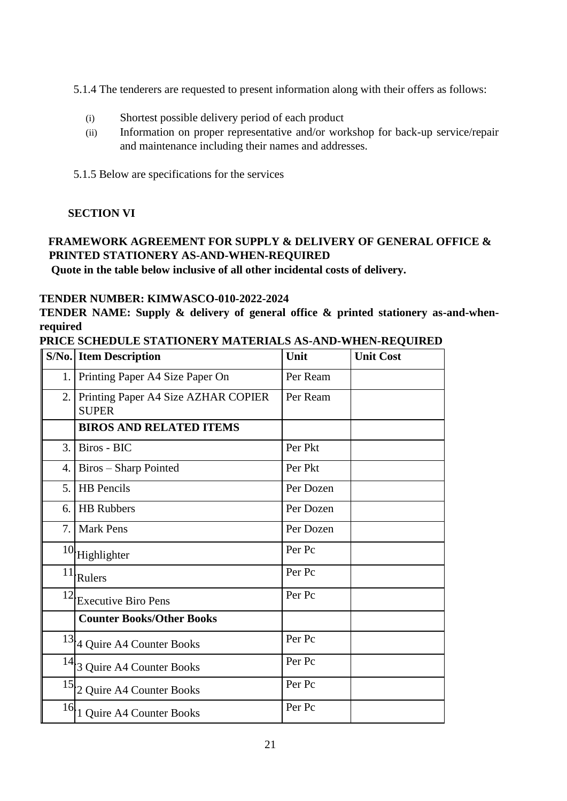5.1.4 The tenderers are requested to present information along with their offers as follows:

- (i) Shortest possible delivery period of each product
- (ii) Information on proper representative and/or workshop for back-up service/repair and maintenance including their names and addresses.
- 5.1.5 Below are specifications for the services

# **SECTION VI**

# **FRAMEWORK AGREEMENT FOR SUPPLY & DELIVERY OF GENERAL OFFICE & PRINTED STATIONERY AS-AND-WHEN-REQUIRED**

**Quote in the table below inclusive of all other incidental costs of delivery.**

# **TENDER NUMBER: KIMWASCO-010-2022-2024**

**TENDER NAME: Supply & delivery of general office & printed stationery as-and-whenrequired**

|  | PRICE SCHEDULE STATIONERY MATERIALS AS-AND-WHEN-REQUIRED |
|--|----------------------------------------------------------|
|  |                                                          |

|     | <b>S/No.</b> Item Description                       | Unit      | <b>Unit Cost</b> |
|-----|-----------------------------------------------------|-----------|------------------|
| 1.  | Printing Paper A4 Size Paper On                     | Per Ream  |                  |
| 2.  | Printing Paper A4 Size AZHAR COPIER<br><b>SUPER</b> | Per Ream  |                  |
|     | <b>BIROS AND RELATED ITEMS</b>                      |           |                  |
| 3.  | Biros - BIC                                         | Per Pkt   |                  |
| 4.1 | Biros - Sharp Pointed                               | Per Pkt   |                  |
| 5.  | <b>HB</b> Pencils                                   | Per Dozen |                  |
| 6.  | <b>HB</b> Rubbers                                   | Per Dozen |                  |
| 7.1 | <b>Mark Pens</b>                                    | Per Dozen |                  |
|     | $10$ Highlighter                                    | Per Pc    |                  |
| 11  | Rulers                                              | Per Pc    |                  |
| 12  | <b>Executive Biro Pens</b>                          | Per Pc    |                  |
|     | <b>Counter Books/Other Books</b>                    |           |                  |
|     | $13/4$ Quire A4 Counter Books                       | Per Pc    |                  |
|     | $14$ 3 Quire A4 Counter Books                       | Per Pc    |                  |
| 15  | 2 Quire A4 Counter Books                            | Per Pc    |                  |
| 16  | 1 Quire A4 Counter Books                            | Per Pc    |                  |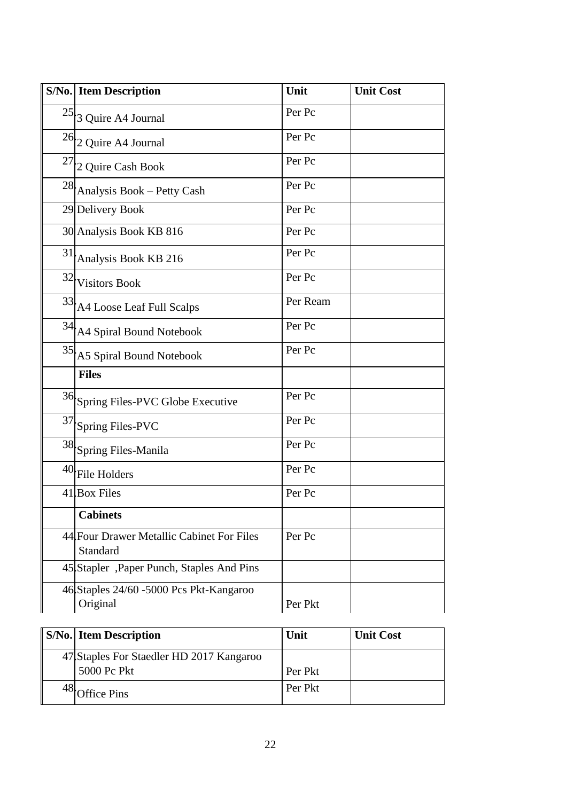|    | <b>S/No.</b> Item Description                         | Unit     | <b>Unit Cost</b> |
|----|-------------------------------------------------------|----------|------------------|
|    | $25$ 3 Quire A4 Journal                               | Per Pc   |                  |
|    | $26$ 2 Quire A4 Journal                               | Per Pc   |                  |
|    | $27$ 2 Quire Cash Book                                | Per Pc   |                  |
|    | $28$ Analysis Book – Petty Cash                       | Per Pc   |                  |
|    | 29 Delivery Book                                      | Per Pc   |                  |
|    | 30 Analysis Book KB 816                               | Per Pc   |                  |
| 31 | Analysis Book KB 216                                  | Per Pc   |                  |
|    | 32 Visitors Book                                      | Per Pc   |                  |
|    | 33 A4 Loose Leaf Full Scalps                          | Per Ream |                  |
|    | 34 A4 Spiral Bound Notebook                           | Per Pc   |                  |
|    | $35$ A5 Spiral Bound Notebook                         | Per Pc   |                  |
|    | <b>Files</b>                                          |          |                  |
|    | 36 Spring Files-PVC Globe Executive                   | Per Pc   |                  |
|    | 37 Spring Files-PVC                                   | Per Pc   |                  |
|    | 38 Spring Files-Manila                                | Per Pc   |                  |
| 40 | File Holders                                          | Per Pc   |                  |
|    | 41 Box Files                                          | Per Pc   |                  |
|    | <b>Cabinets</b>                                       |          |                  |
|    | 44 Four Drawer Metallic Cabinet For Files<br>Standard | Per Pc   |                  |
|    | 45 Stapler, Paper Punch, Staples And Pins             |          |                  |
|    | 46 Staples 24/60 - 5000 Pcs Pkt-Kangaroo<br>Original  | Per Pkt  |                  |

| <b>S/No.</b> Item Description                           | Unit    | <b>Unit Cost</b> |
|---------------------------------------------------------|---------|------------------|
| 47 Staples For Staedler HD 2017 Kangaroo<br>5000 Pc Pkt | Per Pkt |                  |
| <b>Office Pins</b>                                      | Per Pkt |                  |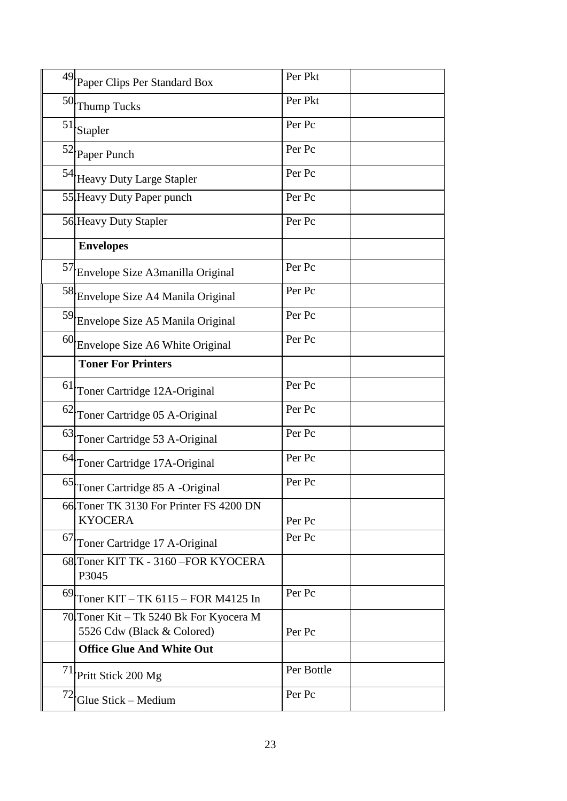|    | 49 Paper Clips Per Standard Box                                       | Per Pkt    |  |
|----|-----------------------------------------------------------------------|------------|--|
|    | 50 Thump Tucks                                                        | Per Pkt    |  |
|    | $51$ Stapler                                                          | Per Pc     |  |
|    | 52 Paper Punch                                                        | Per Pc     |  |
|    | 54 Heavy Duty Large Stapler                                           | Per Pc     |  |
|    | 55 Heavy Duty Paper punch                                             | Per Pc     |  |
|    | 56 Heavy Duty Stapler                                                 | Per Pc     |  |
|    | <b>Envelopes</b>                                                      |            |  |
|    | 57 Envelope Size A3manilla Original                                   | Per Pc     |  |
|    | 58 Envelope Size A4 Manila Original                                   | Per Pc     |  |
|    | 59 Envelope Size A5 Manila Original                                   | Per Pc     |  |
|    | 60 Envelope Size A6 White Original                                    | Per Pc     |  |
|    | <b>Toner For Printers</b>                                             |            |  |
|    | 61 Toner Cartridge 12A-Original                                       | Per Pc     |  |
|    | 62 Toner Cartridge 05 A-Original                                      | Per Pc     |  |
|    | 63 Toner Cartridge 53 A-Original                                      | Per Pc     |  |
|    | 64 Toner Cartridge 17A-Original                                       | Per Pc     |  |
|    | 65 Toner Cartridge 85 A -Original                                     | Per Pc     |  |
|    | 66 Toner TK 3130 For Printer FS 4200 DN<br><b>KYOCERA</b>             | Per Pc     |  |
| 67 | Toner Cartridge 17 A-Original                                         | Per Pc     |  |
|    | 68 Toner KIT TK - 3160 - FOR KYOCERA<br>P3045                         |            |  |
|    | $69$ Toner KIT – TK 6115 – FOR M4125 In                               | Per Pc     |  |
|    | 70 Toner Kit – Tk 5240 Bk For Kyocera M<br>5526 Cdw (Black & Colored) | Per Pc     |  |
|    | <b>Office Glue And White Out</b>                                      |            |  |
|    | <sup>71</sup> Pritt Stick 200 Mg                                      | Per Bottle |  |
|    | $\frac{72}{1}$ Glue Stick – Medium                                    | Per Pc     |  |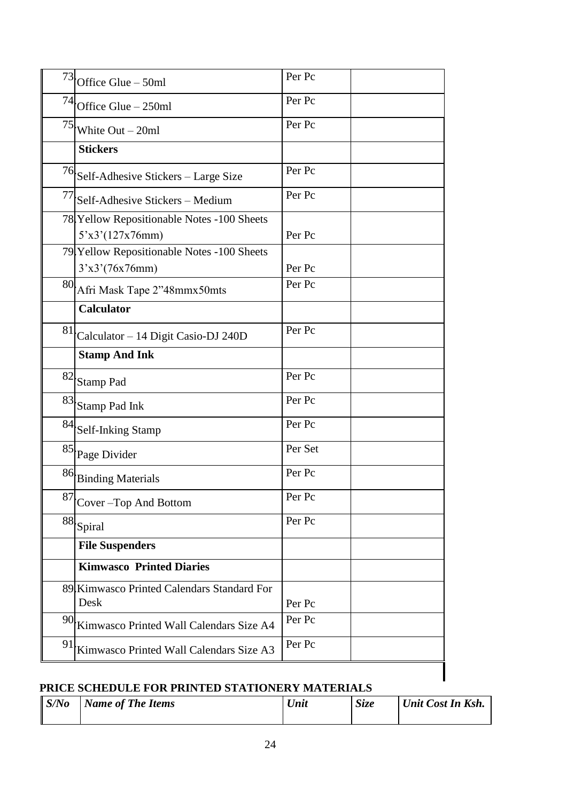|    | $73$ Office Glue – 50ml                                       | Per Pc  |
|----|---------------------------------------------------------------|---------|
|    | $74$ Office Glue – 250ml                                      | Per Pc  |
|    | $75$ White Out – 20ml                                         | Per Pc  |
|    | <b>Stickers</b>                                               |         |
|    | 76 Self-Adhesive Stickers - Large Size                        | Per Pc  |
|    | $77$ Self-Adhesive Stickers – Medium                          | Per Pc  |
|    | 78 Yellow Repositionable Notes -100 Sheets<br>5'x3'(127x76mm) | Per Pc  |
|    | 79 Yellow Repositionable Notes -100 Sheets<br>3'x3'(76x76mm)  | Per Pc  |
|    | 80 Afri Mask Tape 2"48mmx50mts                                | Per Pc  |
|    | <b>Calculator</b>                                             |         |
| 81 | Calculator - 14 Digit Casio-DJ 240D                           | Per Pc  |
|    | <b>Stamp And Ink</b>                                          |         |
|    | $82\ensuremath{ } \ensuremath{\mathsf{Stamp}}$ Pad            | Per Pc  |
|    | $83\ensuremath{ } \ensuremath{\mathsf{Stamp}}$ Pad Ink        | Per Pc  |
|    | 84 Self-Inking Stamp                                          | Per Pc  |
|    | 85 Page Divider                                               | Per Set |
|    | 86 Binding Materials                                          | Per Pc  |
|    | $87$ Cover - Top And Bottom                                   | Per Pc  |
|    | $^{88}\!$ Spiral                                              | Per Pc  |
|    | <b>File Suspenders</b>                                        |         |
|    | <b>Kimwasco Printed Diaries</b>                               |         |
|    | 89 Kimwasco Printed Calendars Standard For<br>Desk            | Per Pc  |
| 90 | Kimwasco Printed Wall Calendars Size A4                       | Per Pc  |
| 91 | Kimwasco Printed Wall Calendars Size A3                       | Per Pc  |

# **PRICE SCHEDULE FOR PRINTED STATIONERY MATERIALS**

| S/No | <b>Name of The Items</b> | Unit | <b>Size</b> | Unit Cost In Ksh. |
|------|--------------------------|------|-------------|-------------------|
|      |                          |      |             |                   |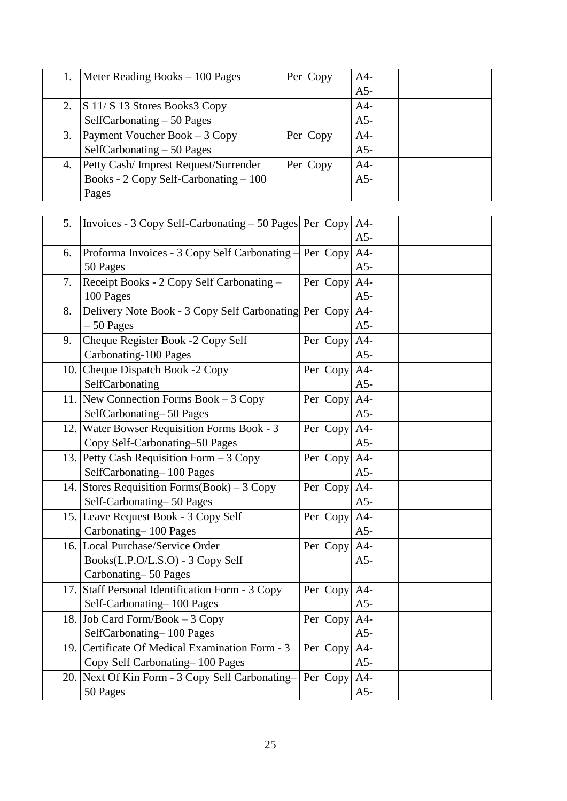|    | Meter Reading Books – 100 Pages         | Per Copy | $A4-$ |  |
|----|-----------------------------------------|----------|-------|--|
|    |                                         |          | $A5-$ |  |
|    | 2. $\vert$ S 11/S 13 Stores Books3 Copy |          | $A4-$ |  |
|    | SelfCarbonating $-50$ Pages             |          | $A5-$ |  |
| 3. | Payment Voucher Book $-3$ Copy          | Per Copy | $A4-$ |  |
|    | SelfCarbonating $-50$ Pages             |          | $A5-$ |  |
| 4. | Petty Cash/ Imprest Request/Surrender   | Per Copy | $A4-$ |  |
|    | Books - 2 Copy Self-Carbonating - 100   |          | $A5-$ |  |
|    | Pages                                   |          |       |  |

| 5.   | Invoices - 3 Copy Self-Carbonating $-50$ Pages Per Copy |              | $A4-$<br>$A5-$ |  |
|------|---------------------------------------------------------|--------------|----------------|--|
| 6.   | Proforma Invoices - 3 Copy Self Carbonating -           | Per Copy     | $A4-$          |  |
|      | 50 Pages                                                |              | $A5-$          |  |
| 7.   | Receipt Books - 2 Copy Self Carbonating -               | Per Copy     | $A4-$          |  |
|      | 100 Pages                                               |              | $A5-$          |  |
| 8.   | Delivery Note Book - 3 Copy Self Carbonating Per Copy   |              | $A4-$          |  |
|      | $-50$ Pages                                             |              | $A5-$          |  |
| 9.   | Cheque Register Book -2 Copy Self                       | Per Copy     | $A4-$          |  |
|      | Carbonating-100 Pages                                   |              | $A5-$          |  |
|      | 10. Cheque Dispatch Book -2 Copy                        | Per Copy     | $A4-$          |  |
|      | SelfCarbonating                                         |              | $A5-$          |  |
|      | 11. New Connection Forms Book $-3$ Copy                 | Per Copy A4- |                |  |
|      | SelfCarbonating-50 Pages                                |              | $A5-$          |  |
|      | 12. Water Bowser Requisition Forms Book - 3             | Per Copy     | $A4-$          |  |
|      | Copy Self-Carbonating-50 Pages                          |              | $A5-$          |  |
|      | 13. Petty Cash Requisition Form - 3 Copy                | Per Copy A4- |                |  |
|      | SelfCarbonating-100 Pages                               |              | $A5-$          |  |
|      | 14. Stores Requisition Forms (Book) – 3 Copy            | Per Copy A4- |                |  |
|      | Self-Carbonating-50 Pages                               |              | $A5-$          |  |
|      | 15. Leave Request Book - 3 Copy Self                    | Per Copy     | $A4-$          |  |
|      | Carbonating-100 Pages                                   |              | $A5-$          |  |
|      | 16. Local Purchase/Service Order                        | Per Copy     | $A4-$          |  |
|      | Books(L.P.O/L.S.O) - 3 Copy Self                        |              | $A5-$          |  |
|      | Carbonating-50 Pages                                    |              |                |  |
|      | 17. Staff Personal Identification Form - 3 Copy         | Per Copy     | $A4-$          |  |
|      | Self-Carbonating-100 Pages                              |              | $A5-$          |  |
|      | 18. Job Card Form/Book $-3$ Copy                        | Per Copy     | $A4-$          |  |
|      | SelfCarbonating-100 Pages                               |              | $A5-$          |  |
| 19.1 | Certificate Of Medical Examination Form - 3             | Per Copy     | $A4-$          |  |
|      | Copy Self Carbonating-100 Pages                         |              | $A5-$          |  |
|      | 20. Next Of Kin Form - 3 Copy Self Carbonating-         | Per Copy     | $A4-$          |  |
|      | 50 Pages                                                |              | $A5-$          |  |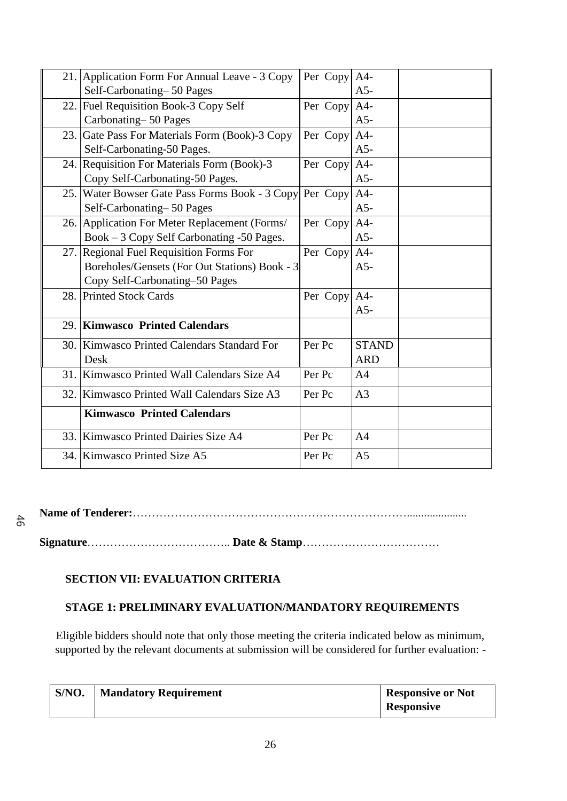| 21. Application Form For Annual Leave - 3 Copy          | Per Copy A4- |                |  |
|---------------------------------------------------------|--------------|----------------|--|
| Self-Carbonating-50 Pages                               |              | $A5-$          |  |
| 22. Fuel Requisition Book-3 Copy Self                   | Per Copy A4- |                |  |
| Carbonating-50 Pages                                    |              | $A5-$          |  |
| 23. Gate Pass For Materials Form (Book)-3 Copy          | Per Copy A4- |                |  |
| Self-Carbonating-50 Pages.                              |              | $A5-$          |  |
| 24. Requisition For Materials Form (Book)-3             | Per Copy A4- |                |  |
| Copy Self-Carbonating-50 Pages.                         |              | $A5-$          |  |
| 25. Water Bowser Gate Pass Forms Book - 3 Copy Per Copy |              | $A4-$          |  |
| Self-Carbonating-50 Pages                               |              | $A5-$          |  |
| 26. Application For Meter Replacement (Forms/           | Per Copy     | $A4-$          |  |
| Book - 3 Copy Self Carbonating -50 Pages.               |              | $A5-$          |  |
| 27. Regional Fuel Requisition Forms For                 | Per Copy A4- |                |  |
| Boreholes/Gensets (For Out Stations) Book - 3           |              | $A5-$          |  |
| Copy Self-Carbonating-50 Pages                          |              |                |  |
| 28. Printed Stock Cards                                 | Per Copy A4- |                |  |
|                                                         |              | $A5-$          |  |
| 29. Kimwasco Printed Calendars                          |              |                |  |
| 30. Kimwasco Printed Calendars Standard For             | Per Pc       | <b>STAND</b>   |  |
| Desk                                                    |              | <b>ARD</b>     |  |
| 31. Kimwasco Printed Wall Calendars Size A4             | Per Pc       | A <sub>4</sub> |  |
| 32. Kimwasco Printed Wall Calendars Size A3             | Per Pc       | A <sub>3</sub> |  |
| <b>Kimwasco Printed Calendars</b>                       |              |                |  |
| 33. Kimwasco Printed Dairies Size A4                    | Per Pc       | A <sub>4</sub> |  |
| 34. Kimwasco Printed Size A5                            | Per Pc       | A <sub>5</sub> |  |

**Name of Tenderer:**……………………………………………………………….....................

 $46$ 

**Signature**……………………………….. **Date & Stamp**………………………………

# **SECTION VII: EVALUATION CRITERIA**

# **STAGE 1: PRELIMINARY EVALUATION/MANDATORY REQUIREMENTS**

Eligible bidders should note that only those meeting the criteria indicated below as minimum, supported by the relevant documents at submission will be considered for further evaluation: -

| S/NO. | Mandatory Requirement | <b>Responsive or Not</b> |
|-------|-----------------------|--------------------------|
|       |                       | <b>Responsive</b>        |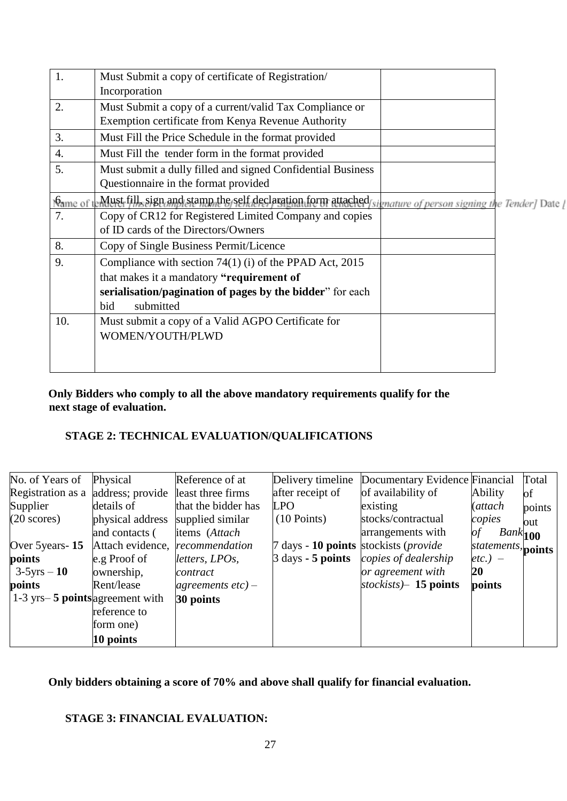| 1.               | Must Submit a copy of certificate of Registration/                                                        |  |
|------------------|-----------------------------------------------------------------------------------------------------------|--|
|                  | Incorporation                                                                                             |  |
| 2.               | Must Submit a copy of a current/valid Tax Compliance or                                                   |  |
|                  | Exemption certificate from Kenya Revenue Authority                                                        |  |
| 3.               | Must Fill the Price Schedule in the format provided                                                       |  |
| $\overline{4}$ . | Must Fill the tender form in the format provided                                                          |  |
| 5.               | Must submit a dully filled and signed Confidential Business                                               |  |
|                  | Questionnaire in the format provided                                                                      |  |
| Name of t        | Must fill, sign and stamp the self declaration form attached signature of person signing the Tender] Date |  |
| 7.               | Copy of CR12 for Registered Limited Company and copies                                                    |  |
|                  | of ID cards of the Directors/Owners                                                                       |  |
| 8.               | Copy of Single Business Permit/Licence                                                                    |  |
| 9.               | Compliance with section $74(1)$ (i) of the PPAD Act, 2015                                                 |  |
|                  | that makes it a mandatory "requirement of                                                                 |  |
|                  | serialisation/pagination of pages by the bidder" for each                                                 |  |
|                  | submitted<br>bid                                                                                          |  |
| 10.              | Must submit a copy of a Valid AGPO Certificate for                                                        |  |
|                  | WOMEN/YOUTH/PLWD                                                                                          |  |
|                  |                                                                                                           |  |
|                  |                                                                                                           |  |

# **Only Bidders who comply to all the above mandatory requirements qualify for the next stage of evaluation.**

# **STAGE 2: TECHNICAL EVALUATION/QUALIFICATIONS**

| No. of Years of                                               | Physical         | Reference of at      | Delivery timeline                             | Documentary Evidence Financial |                    | Total  |
|---------------------------------------------------------------|------------------|----------------------|-----------------------------------------------|--------------------------------|--------------------|--------|
| Registration as a                                             | address; provide | least three firms    | after receipt of                              | of availability of             | Ability            | of     |
| Supplier                                                      | details of       | that the bidder has  | <b>LPO</b>                                    | existing                       | (attach            | points |
| $(20 \text{ scores})$                                         | physical address | supplied similar     | $(10$ Points)                                 | stocks/contractual             | copies             | out    |
|                                                               | and contacts (   | items (Attach        |                                               | arrangements with              | $Bank$ $100$<br>of |        |
| Over 5 years - 15                                             | Attach evidence, | recommendation       | 7 days - 10 points stockists ( <i>provide</i> |                                | statements, points |        |
| points                                                        | e.g Proof of     | letters, LPOs,       | $\beta$ days - 5 points                       | copies of dealership           | etc.) $-$          |        |
| $3-5yrs - 10$                                                 | ownership,       | contract             |                                               | or agreement with              | 20                 |        |
| points                                                        | Rent/lease       | agreements $etc$ ) – |                                               | stockists $-15$ points         | points             |        |
| $\left 1\text{-}3\right\rangle$ yrs – 5 points agreement with |                  | 30 points            |                                               |                                |                    |        |
|                                                               | reference to     |                      |                                               |                                |                    |        |
|                                                               | form one)        |                      |                                               |                                |                    |        |
|                                                               | 10 points        |                      |                                               |                                |                    |        |

# **Only bidders obtaining a score of 70% and above shall qualify for financial evaluation.**

#### **STAGE 3: FINANCIAL EVALUATION:**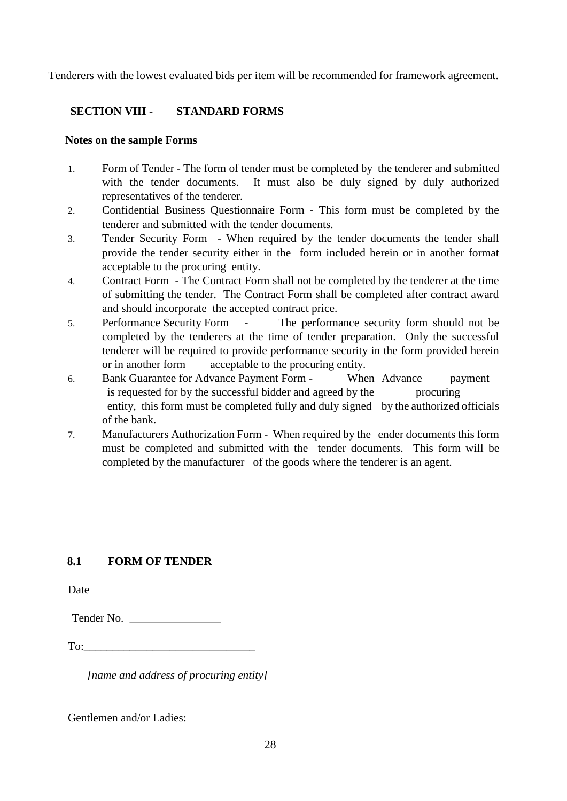Tenderers with the lowest evaluated bids per item will be recommended for framework agreement.

# **SECTION VIII - STANDARD FORMS**

#### **Notes on the sample Forms**

- 1. Form of Tender The form of tender must be completed by the tenderer and submitted with the tender documents. It must also be duly signed by duly authorized representatives of the tenderer.
- 2. Confidential Business Questionnaire Form This form must be completed by the tenderer and submitted with the tender documents.
- 3. Tender Security Form When required by the tender documents the tender shall provide the tender security either in the form included herein or in another format acceptable to the procuring entity.
- 4. Contract Form The Contract Form shall not be completed by the tenderer at the time of submitting the tender. The Contract Form shall be completed after contract award and should incorporate the accepted contract price.
- 5. Performance Security Form The performance security form should not be completed by the tenderers at the time of tender preparation. Only the successful tenderer will be required to provide performance security in the form provided herein or in another form acceptable to the procuring entity.
- 6. Bank Guarantee for Advance Payment Form When Advance payment is requested for by the successful bidder and agreed by the procuring entity, this form must be completed fully and duly signed by the authorized officials of the bank.
- 7. Manufacturers Authorization Form When required by the ender documents this form must be completed and submitted with the tender documents. This form will be completed by the manufacturer of the goods where the tenderer is an agent.

#### **8.1 FORM OF TENDER**

Date and the same state of the state of the state of the state of the state of the state of the state of the state of the state of the state of the state of the state of the state of the state of the state of the state of

| Tender No. |
|------------|

| <b>m</b> |  |  |
|----------|--|--|
|          |  |  |

*[name and address of procuring entity]* 

Gentlemen and/or Ladies: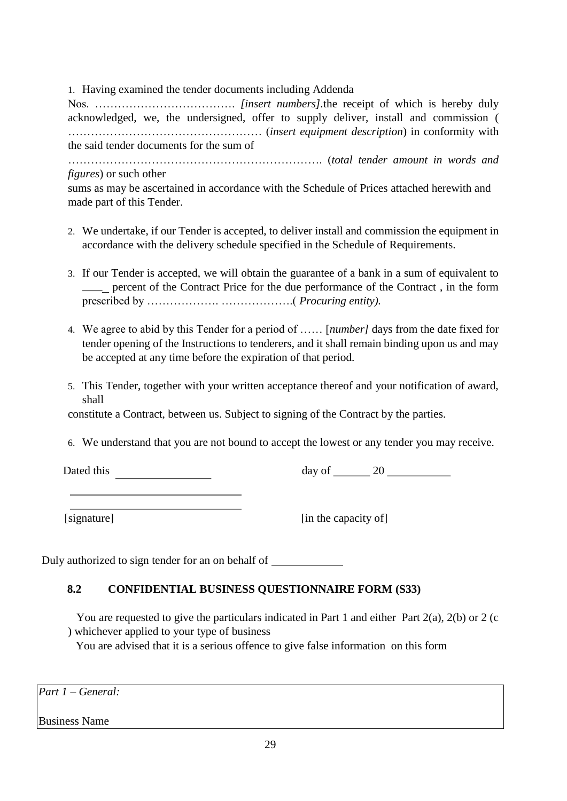1. Having examined the tender documents including Addenda

Nos. ………………………………. *[insert numbers].*the receipt of which is hereby duly acknowledged, we, the undersigned, offer to supply deliver, install and commission ( …………………………………………… (*insert equipment description*) in conformity with the said tender documents for the sum of

…………………………………………………………. (*total tender amount in words and figures*) or such other

sums as may be ascertained in accordance with the Schedule of Prices attached herewith and made part of this Tender.

- 2. We undertake, if our Tender is accepted, to deliver install and commission the equipment in accordance with the delivery schedule specified in the Schedule of Requirements.
- 3. If our Tender is accepted, we will obtain the guarantee of a bank in a sum of equivalent to percent of the Contract Price for the due performance of the Contract , in the form prescribed by ………………. ……………….( *Procuring entity).*
- 4. We agree to abid by this Tender for a period of …… [*number]* days from the date fixed for tender opening of the Instructions to tenderers, and it shall remain binding upon us and may be accepted at any time before the expiration of that period.
- 5. This Tender, together with your written acceptance thereof and your notification of award, shall

constitute a Contract, between us. Subject to signing of the Contract by the parties.

6. We understand that you are not bound to accept the lowest or any tender you may receive.

Dated this day of 20

[signature] [in the capacity of]

Duly authorized to sign tender for an on behalf of

# **8.2 CONFIDENTIAL BUSINESS QUESTIONNAIRE FORM (S33)**

 You are requested to give the particulars indicated in Part 1 and either Part 2(a), 2(b) or 2 (c ) whichever applied to your type of business

You are advised that it is a serious offence to give false information on this form

*Part 1 – General:* 

Business Name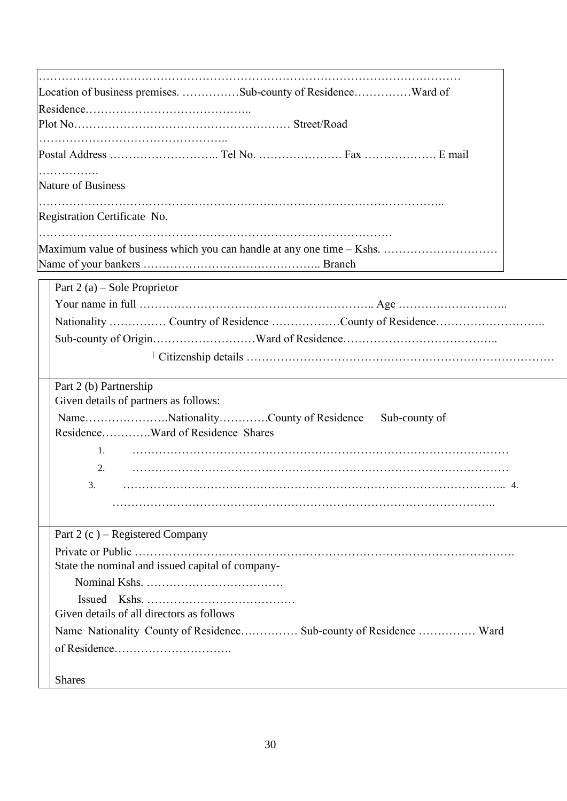| Location of business premises. Sub-county of ResidenceWard of<br>.<br>Maximum value of business which you can handle at any one time – Kshs.<br>Part $2(a)$ – Sole Proprietor<br>Nationality  Country of Residence County of Residence<br>Part 2 (b) Partnership<br>Given details of partners as follows:<br>NameNationalityCounty of Residence Sub-county of<br>ResidenceWard of Residence Shares<br>2.<br>3.<br>Part 2 (c) – Registered Company<br>State the nominal and issued capital of company-<br>Given details of all directors as follows<br>Name Nationality County of Residence Sub-county of Residence  Ward |                              |
|--------------------------------------------------------------------------------------------------------------------------------------------------------------------------------------------------------------------------------------------------------------------------------------------------------------------------------------------------------------------------------------------------------------------------------------------------------------------------------------------------------------------------------------------------------------------------------------------------------------------------|------------------------------|
|                                                                                                                                                                                                                                                                                                                                                                                                                                                                                                                                                                                                                          |                              |
|                                                                                                                                                                                                                                                                                                                                                                                                                                                                                                                                                                                                                          |                              |
|                                                                                                                                                                                                                                                                                                                                                                                                                                                                                                                                                                                                                          |                              |
|                                                                                                                                                                                                                                                                                                                                                                                                                                                                                                                                                                                                                          |                              |
|                                                                                                                                                                                                                                                                                                                                                                                                                                                                                                                                                                                                                          |                              |
|                                                                                                                                                                                                                                                                                                                                                                                                                                                                                                                                                                                                                          | Nature of Business           |
|                                                                                                                                                                                                                                                                                                                                                                                                                                                                                                                                                                                                                          | Registration Certificate No. |
|                                                                                                                                                                                                                                                                                                                                                                                                                                                                                                                                                                                                                          |                              |
|                                                                                                                                                                                                                                                                                                                                                                                                                                                                                                                                                                                                                          |                              |
|                                                                                                                                                                                                                                                                                                                                                                                                                                                                                                                                                                                                                          |                              |
|                                                                                                                                                                                                                                                                                                                                                                                                                                                                                                                                                                                                                          |                              |
|                                                                                                                                                                                                                                                                                                                                                                                                                                                                                                                                                                                                                          |                              |
|                                                                                                                                                                                                                                                                                                                                                                                                                                                                                                                                                                                                                          |                              |
|                                                                                                                                                                                                                                                                                                                                                                                                                                                                                                                                                                                                                          |                              |
|                                                                                                                                                                                                                                                                                                                                                                                                                                                                                                                                                                                                                          |                              |
|                                                                                                                                                                                                                                                                                                                                                                                                                                                                                                                                                                                                                          |                              |
|                                                                                                                                                                                                                                                                                                                                                                                                                                                                                                                                                                                                                          |                              |
|                                                                                                                                                                                                                                                                                                                                                                                                                                                                                                                                                                                                                          |                              |
|                                                                                                                                                                                                                                                                                                                                                                                                                                                                                                                                                                                                                          |                              |
|                                                                                                                                                                                                                                                                                                                                                                                                                                                                                                                                                                                                                          |                              |
|                                                                                                                                                                                                                                                                                                                                                                                                                                                                                                                                                                                                                          |                              |
|                                                                                                                                                                                                                                                                                                                                                                                                                                                                                                                                                                                                                          |                              |
|                                                                                                                                                                                                                                                                                                                                                                                                                                                                                                                                                                                                                          |                              |
|                                                                                                                                                                                                                                                                                                                                                                                                                                                                                                                                                                                                                          |                              |
|                                                                                                                                                                                                                                                                                                                                                                                                                                                                                                                                                                                                                          |                              |
|                                                                                                                                                                                                                                                                                                                                                                                                                                                                                                                                                                                                                          |                              |
|                                                                                                                                                                                                                                                                                                                                                                                                                                                                                                                                                                                                                          |                              |
|                                                                                                                                                                                                                                                                                                                                                                                                                                                                                                                                                                                                                          |                              |
|                                                                                                                                                                                                                                                                                                                                                                                                                                                                                                                                                                                                                          |                              |
| <b>Shares</b>                                                                                                                                                                                                                                                                                                                                                                                                                                                                                                                                                                                                            |                              |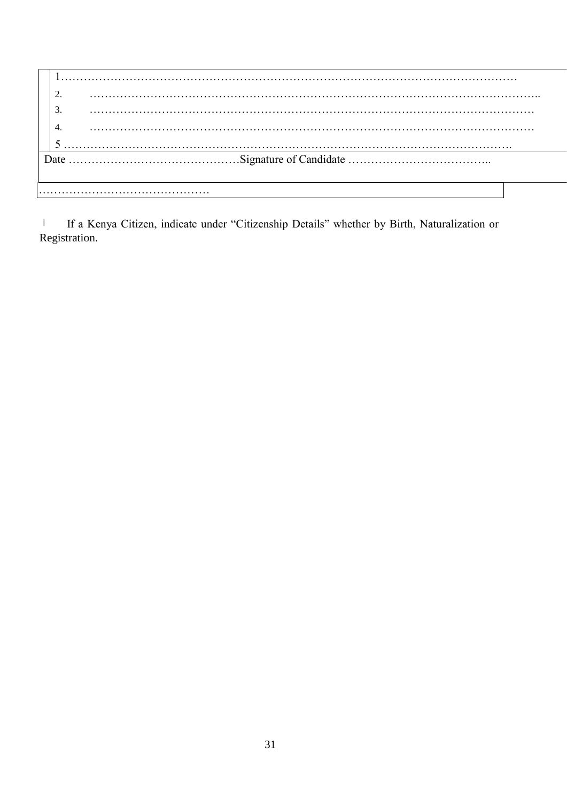If a Kenya Citizen, indicate under "Citizenship Details" whether by Birth, Naturalization or  $\vert$ Registration.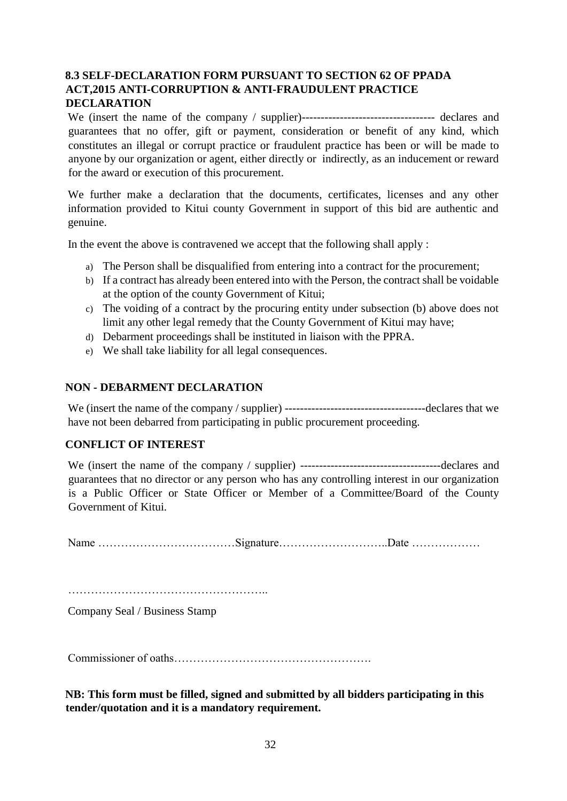# **8.3 SELF-DECLARATION FORM PURSUANT TO SECTION 62 OF PPADA ACT,2015 ANTI-CORRUPTION & ANTI-FRAUDULENT PRACTICE DECLARATION**

We (insert the name of the company / supplier)----------------------------------- declares and guarantees that no offer, gift or payment, consideration or benefit of any kind, which constitutes an illegal or corrupt practice or fraudulent practice has been or will be made to anyone by our organization or agent, either directly or indirectly, as an inducement or reward for the award or execution of this procurement.

We further make a declaration that the documents, certificates, licenses and any other information provided to Kitui county Government in support of this bid are authentic and genuine.

In the event the above is contravened we accept that the following shall apply :

- a) The Person shall be disqualified from entering into a contract for the procurement;
- b) If a contract has already been entered into with the Person, the contract shall be voidable at the option of the county Government of Kitui;
- c) The voiding of a contract by the procuring entity under subsection (b) above does not limit any other legal remedy that the County Government of Kitui may have;
- d) Debarment proceedings shall be instituted in liaison with the PPRA.
- e) We shall take liability for all legal consequences.

#### **NON - DEBARMENT DECLARATION**

We (insert the name of the company / supplier) -------------------------------------declares that we have not been debarred from participating in public procurement proceeding.

#### **CONFLICT OF INTEREST**

We (insert the name of the company / supplier) -------------------------------------declares and guarantees that no director or any person who has any controlling interest in our organization is a Public Officer or State Officer or Member of a Committee/Board of the County Government of Kitui.

Name ………………………………Signature………………………..Date ………………

……………………………………………..

Company Seal / Business Stamp

Commissioner of oaths…………………………………………….

**NB: This form must be filled, signed and submitted by all bidders participating in this tender/quotation and it is a mandatory requirement.**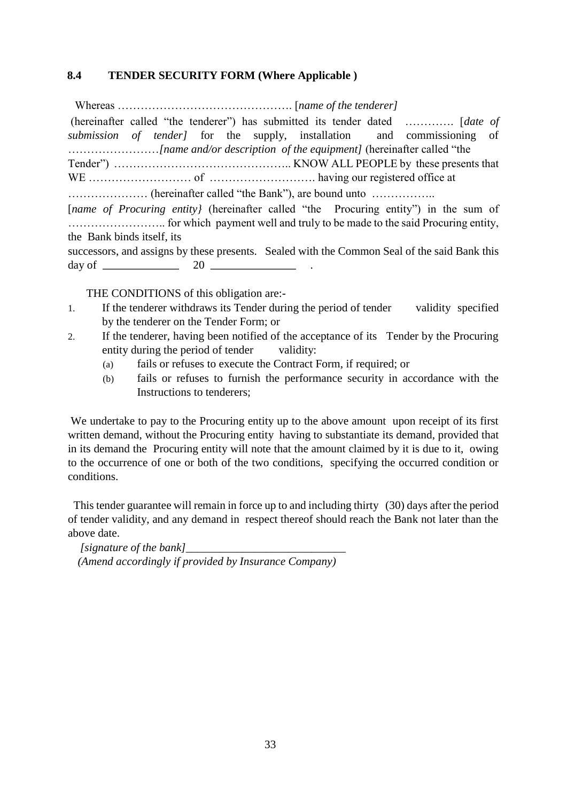#### **8.4 TENDER SECURITY FORM (Where Applicable )**

 Whereas ………………………………………. [*name of the tenderer]*  (hereinafter called "the tenderer") has submitted its tender dated …………. [*date of submission of tender]* for the supply, installation and commissioning of ……………………*[name and/or description of the equipment]* (hereinafter called "the Tender") ……………………………………….. KNOW ALL PEOPLE by these presents that WE ……………………… of ………………………. having our registered office at ………………… (hereinafter called "the Bank"), are bound unto …………….. [*name of Procuring entity*] (hereinafter called "the Procuring entity") in the sum of …………………….. for which payment well and truly to be made to the said Procuring entity, the Bank binds itself, its successors, and assigns by these presents. Sealed with the Common Seal of the said Bank this day of  $\frac{20}{20}$ 

THE CONDITIONS of this obligation are:-

- 1. If the tenderer withdraws its Tender during the period of tender validity specified by the tenderer on the Tender Form; or
- 2. If the tenderer, having been notified of the acceptance of its Tender by the Procuring entity during the period of tender validity:
	- (a) fails or refuses to execute the Contract Form, if required; or
	- (b) fails or refuses to furnish the performance security in accordance with the Instructions to tenderers;

We undertake to pay to the Procuring entity up to the above amount upon receipt of its first written demand, without the Procuring entity having to substantiate its demand, provided that in its demand the Procuring entity will note that the amount claimed by it is due to it, owing to the occurrence of one or both of the two conditions, specifying the occurred condition or conditions.

 This tender guarantee will remain in force up to and including thirty (30) days after the period of tender validity, and any demand in respect thereof should reach the Bank not later than the above date.

*[signature of the bank] (Amend accordingly if provided by Insurance Company)*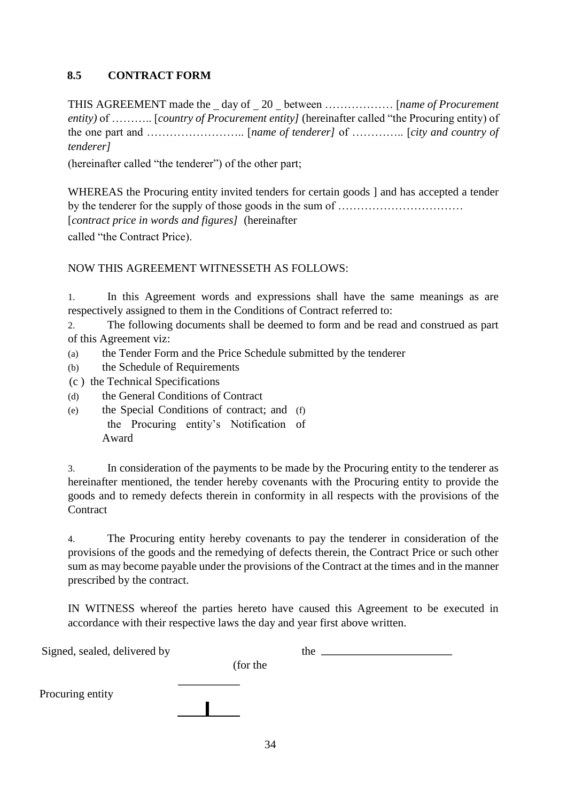# **8.5 CONTRACT FORM**

THIS AGREEMENT made the day of 20 between ……………… [*name of Procurement entity)* of ……….. [*country of Procurement entity]* (hereinafter called "the Procuring entity) of the one part and …………………….. [*name of tenderer]* of ………….. [*city and country of tenderer]*

(hereinafter called "the tenderer") of the other part;

WHEREAS the Procuring entity invited tenders for certain goods ] and has accepted a tender by the tenderer for the supply of those goods in the sum of …………………………… [*contract price in words and figures]* (hereinafter called "the Contract Price).

NOW THIS AGREEMENT WITNESSETH AS FOLLOWS:

1. In this Agreement words and expressions shall have the same meanings as are respectively assigned to them in the Conditions of Contract referred to:

2. The following documents shall be deemed to form and be read and construed as part of this Agreement viz:

- (a) the Tender Form and the Price Schedule submitted by the tenderer
- (b) the Schedule of Requirements
- (c ) the Technical Specifications
- (d) the General Conditions of Contract
- (e) the Special Conditions of contract; and (f) the Procuring entity's Notification of Award

3. In consideration of the payments to be made by the Procuring entity to the tenderer as hereinafter mentioned, the tender hereby covenants with the Procuring entity to provide the goods and to remedy defects therein in conformity in all respects with the provisions of the **Contract** 

4. The Procuring entity hereby covenants to pay the tenderer in consideration of the provisions of the goods and the remedying of defects therein, the Contract Price or such other sum as may become payable under the provisions of the Contract at the times and in the manner prescribed by the contract.

IN WITNESS whereof the parties hereto have caused this Agreement to be executed in accordance with their respective laws the day and year first above written.

| Signed, sealed, delivered by |          | the |  |
|------------------------------|----------|-----|--|
|                              | (for the |     |  |
| Procuring entity             |          |     |  |
|                              |          |     |  |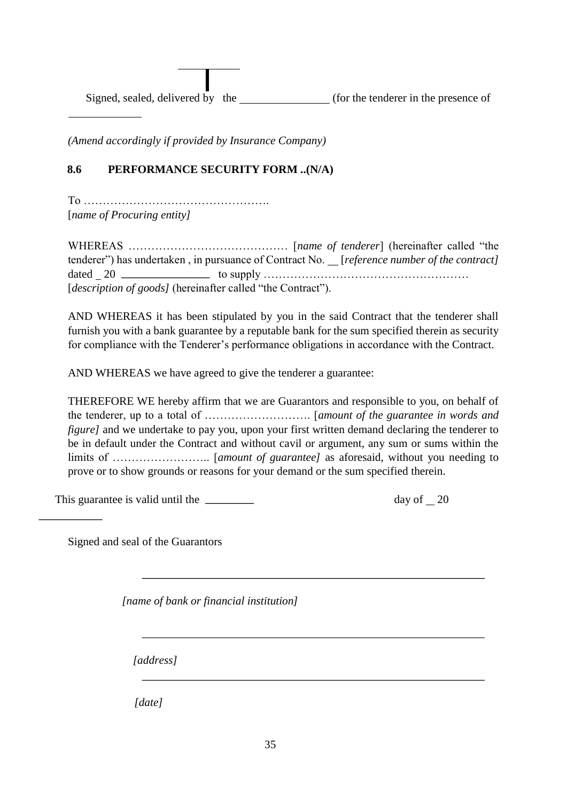Signed, sealed, delivered by the (for the tenderer in the presence of

*(Amend accordingly if provided by Insurance Company)* 

# **8.6 PERFORMANCE SECURITY FORM ..(N/A)**

To …………………………………………. [*name of Procuring entity]* 

 $\overline{a}$ 

WHEREAS …………………………………… [*name of tenderer*] (hereinafter called "the tenderer") has undertaken, in pursuance of Contract No. *[reference number of the contract]* dated 20 to supply ……………………………………………… [*description of goods]* (hereinafter called "the Contract").

AND WHEREAS it has been stipulated by you in the said Contract that the tenderer shall furnish you with a bank guarantee by a reputable bank for the sum specified therein as security for compliance with the Tenderer's performance obligations in accordance with the Contract.

AND WHEREAS we have agreed to give the tenderer a guarantee:

THEREFORE WE hereby affirm that we are Guarantors and responsible to you, on behalf of the tenderer, up to a total of ………………………. [*amount of the guarantee in words and figure]* and we undertake to pay you, upon your first written demand declaring the tenderer to be in default under the Contract and without cavil or argument, any sum or sums within the limits of …………………….. [*amount of guarantee]* as aforesaid, without you needing to prove or to show grounds or reasons for your demand or the sum specified therein.

This guarantee is valid until the <u>equal control of</u> the day of 20

Signed and seal of the Guarantors

*[name of bank or financial institution]* 

*[address]* 

*[date]*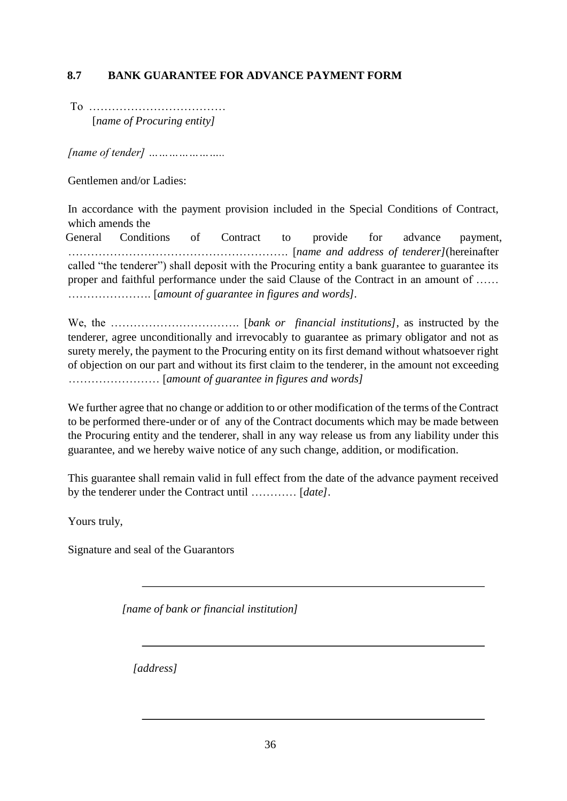# **8.7 BANK GUARANTEE FOR ADVANCE PAYMENT FORM**

To ……………………………… [*name of Procuring entity]* 

*[name of tender] …………………..* 

Gentlemen and/or Ladies:

In accordance with the payment provision included in the Special Conditions of Contract, which amends the

General Conditions of Contract to provide for advance payment, …………………………………………………. [*name and address of tenderer]*(hereinafter called "the tenderer") shall deposit with the Procuring entity a bank guarantee to guarantee its proper and faithful performance under the said Clause of the Contract in an amount of …… …………………. [*amount of guarantee in figures and words].* 

We, the ……………………………. [*bank or financial institutions]*, as instructed by the tenderer, agree unconditionally and irrevocably to guarantee as primary obligator and not as surety merely, the payment to the Procuring entity on its first demand without whatsoever right of objection on our part and without its first claim to the tenderer, in the amount not exceeding …………………… [*amount of guarantee in figures and words]* 

We further agree that no change or addition to or other modification of the terms of the Contract to be performed there-under or of any of the Contract documents which may be made between the Procuring entity and the tenderer, shall in any way release us from any liability under this guarantee, and we hereby waive notice of any such change, addition, or modification.

This guarantee shall remain valid in full effect from the date of the advance payment received by the tenderer under the Contract until ………… [*date]*.

Yours truly,

Signature and seal of the Guarantors

*[name of bank or financial institution]* 

*[address]*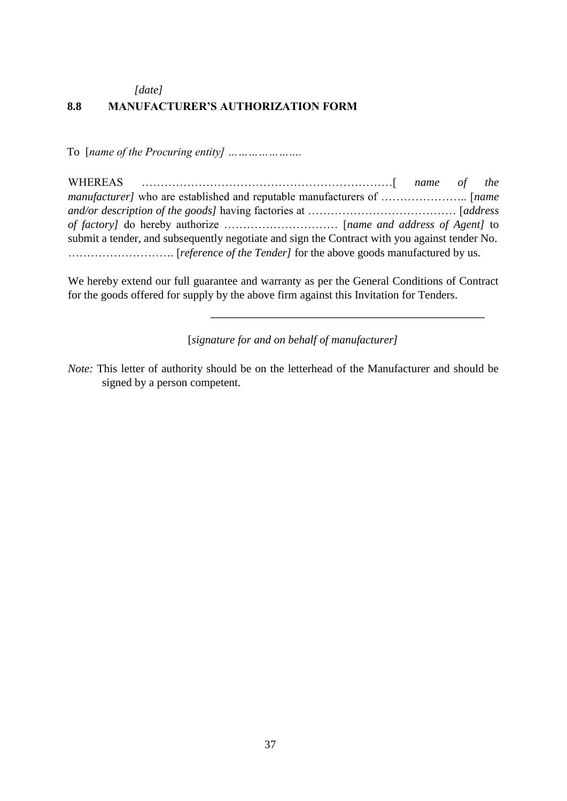*[date]* 

#### **8.8 MANUFACTURER'S AUTHORIZATION FORM**

To [*name of the Procuring entity] ………………….* 

| submit a tender, and subsequently negotiate and sign the Contract with you against tender No. |  |  |
|-----------------------------------------------------------------------------------------------|--|--|
|                                                                                               |  |  |

We hereby extend our full guarantee and warranty as per the General Conditions of Contract for the goods offered for supply by the above firm against this Invitation for Tenders.

[*signature for and on behalf of manufacturer]* 

*Note:* This letter of authority should be on the letterhead of the Manufacturer and should be signed by a person competent.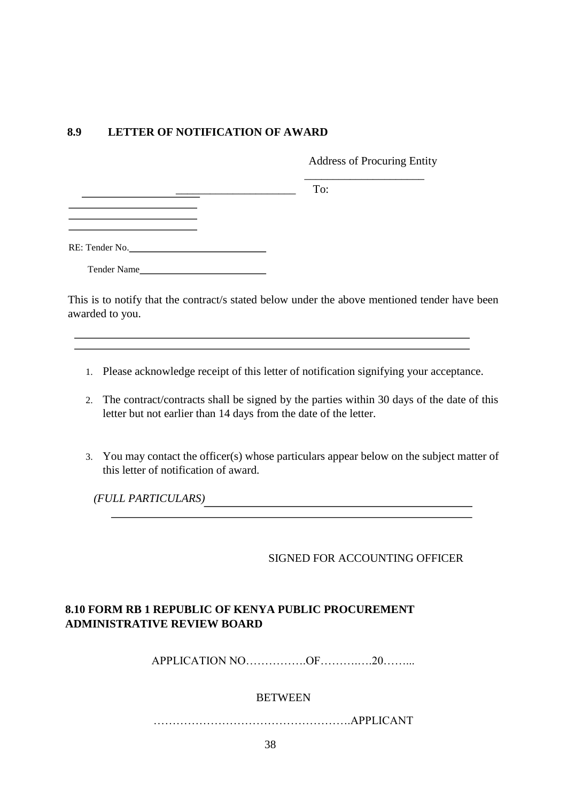# **8.9 LETTER OF NOTIFICATION OF AWARD**

 $\overline{\phantom{a}}$  , and the contract of the contract of the contract of the contract of the contract of the contract of the contract of the contract of the contract of the contract of the contract of the contract of the contrac

Address of Procuring Entity

l,

 $\overline{\phantom{a}}$  To:

Tender Name

This is to notify that the contract/s stated below under the above mentioned tender have been awarded to you.

- 1. Please acknowledge receipt of this letter of notification signifying your acceptance.
- 2. The contract/contracts shall be signed by the parties within 30 days of the date of this letter but not earlier than 14 days from the date of the letter.
- 3. You may contact the officer(s) whose particulars appear below on the subject matter of this letter of notification of award.

*(FULL PARTICULARS)* 

#### SIGNED FOR ACCOUNTING OFFICER

# **8.10 FORM RB 1 REPUBLIC OF KENYA PUBLIC PROCUREMENT ADMINISTRATIVE REVIEW BOARD**

APPLICATION NO…………….OF……….….20……...

#### BETWEEN

…………………………………………….APPLICANT